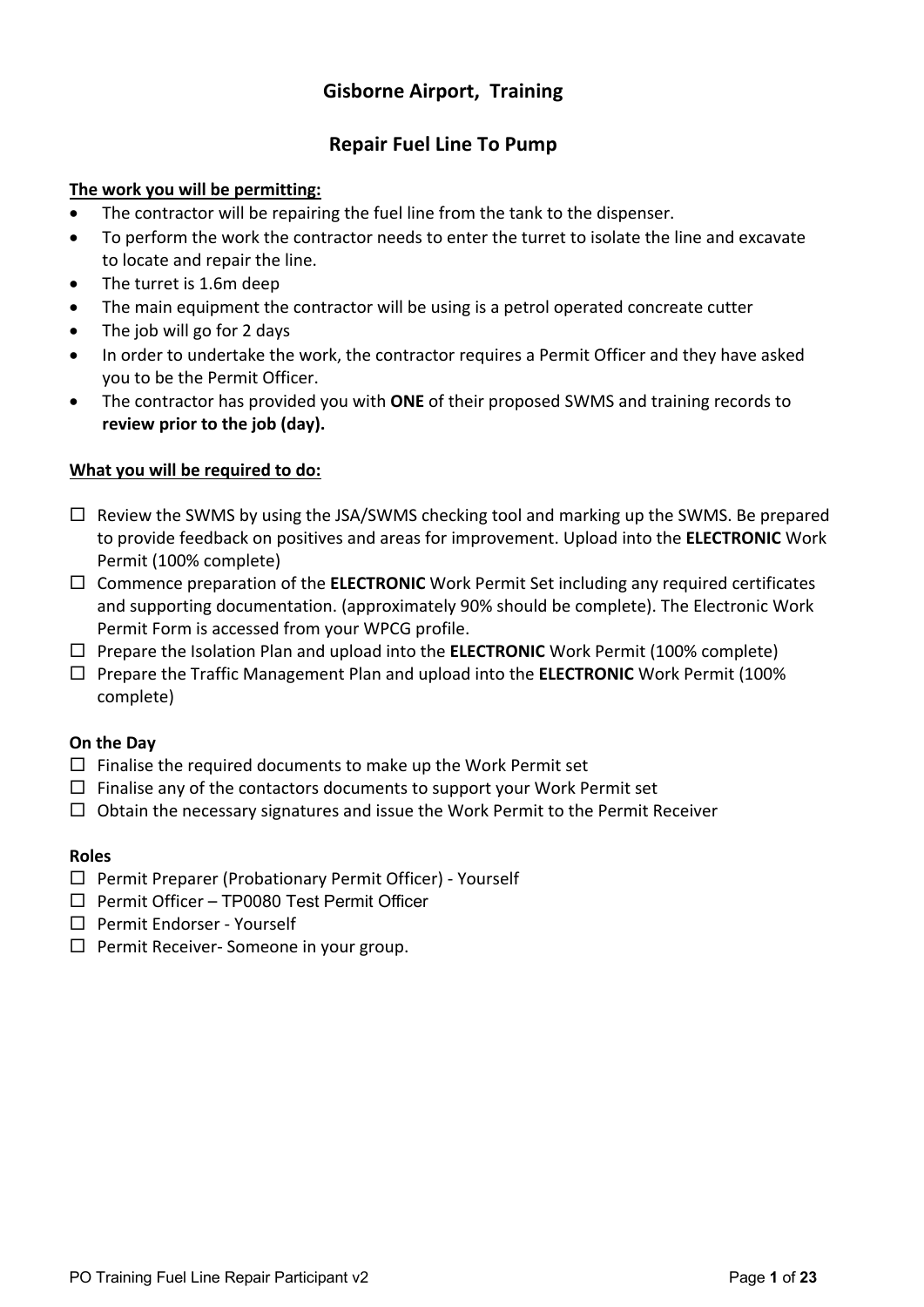### **Gisborne Airport, Training**

#### **Repair Fuel Line To Pump**

#### **The work you will be permitting:**

- The contractor will be repairing the fuel line from the tank to the dispenser.
- To perform the work the contractor needs to enter the turret to isolate the line and excavate to locate and repair the line.
- The turret is 1.6m deep
- The main equipment the contractor will be using is a petrol operated concreate cutter
- The job will go for 2 days
- In order to undertake the work, the contractor requires a Permit Officer and they have asked you to be the Permit Officer.
- The contractor has provided you with **ONE** of their proposed SWMS and training records to **review prior to the job (day).**

#### **What you will be required to do:**

- $\square$  Review the SWMS by using the JSA/SWMS checking tool and marking up the SWMS. Be prepared to provide feedback on positives and areas for improvement. Upload into the **ELECTRONIC** Work Permit (100% complete)
- □ Commence preparation of the **ELECTRONIC** Work Permit Set including any required certificates and supporting documentation. (approximately 90% should be complete). The Electronic Work Permit Form is accessed from your WPCG profile.
- □ Prepare the Isolation Plan and upload into the **ELECTRONIC** Work Permit (100% complete)
- ¨ Prepare the Traffic Management Plan and upload into the **ELECTRONIC** Work Permit (100% complete)

#### **On the Day**

- $\square$  Finalise the required documents to make up the Work Permit set
- $\Box$  Finalise any of the contactors documents to support your Work Permit set
- $\square$  Obtain the necessary signatures and issue the Work Permit to the Permit Receiver

#### **Roles**

- $\square$  Permit Preparer (Probationary Permit Officer) Yourself
- $\Box$  Permit Officer TP0080 Test Permit Officer
- $\square$  Permit Endorser Yourself
- $\Box$  Permit Receiver- Someone in your group.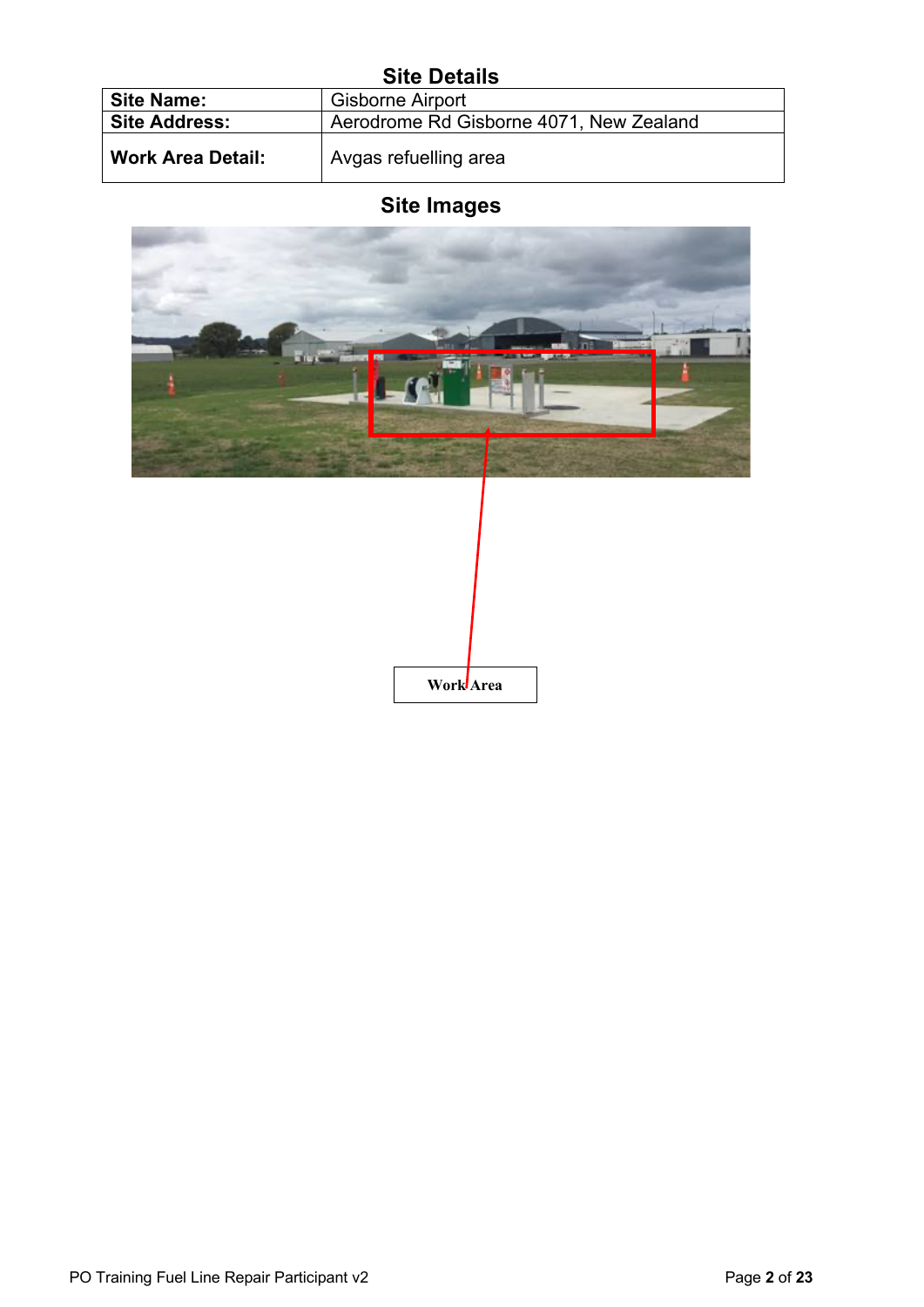### **Site Details**

| UILG DGLAIIJ             |                                         |  |  |  |  |  |  |
|--------------------------|-----------------------------------------|--|--|--|--|--|--|
| <b>Site Name:</b>        | <b>Gisborne Airport</b>                 |  |  |  |  |  |  |
| <b>Site Address:</b>     | Aerodrome Rd Gisborne 4071, New Zealand |  |  |  |  |  |  |
| <b>Work Area Detail:</b> | Avgas refuelling area                   |  |  |  |  |  |  |

## **Site Images**



**Work Area**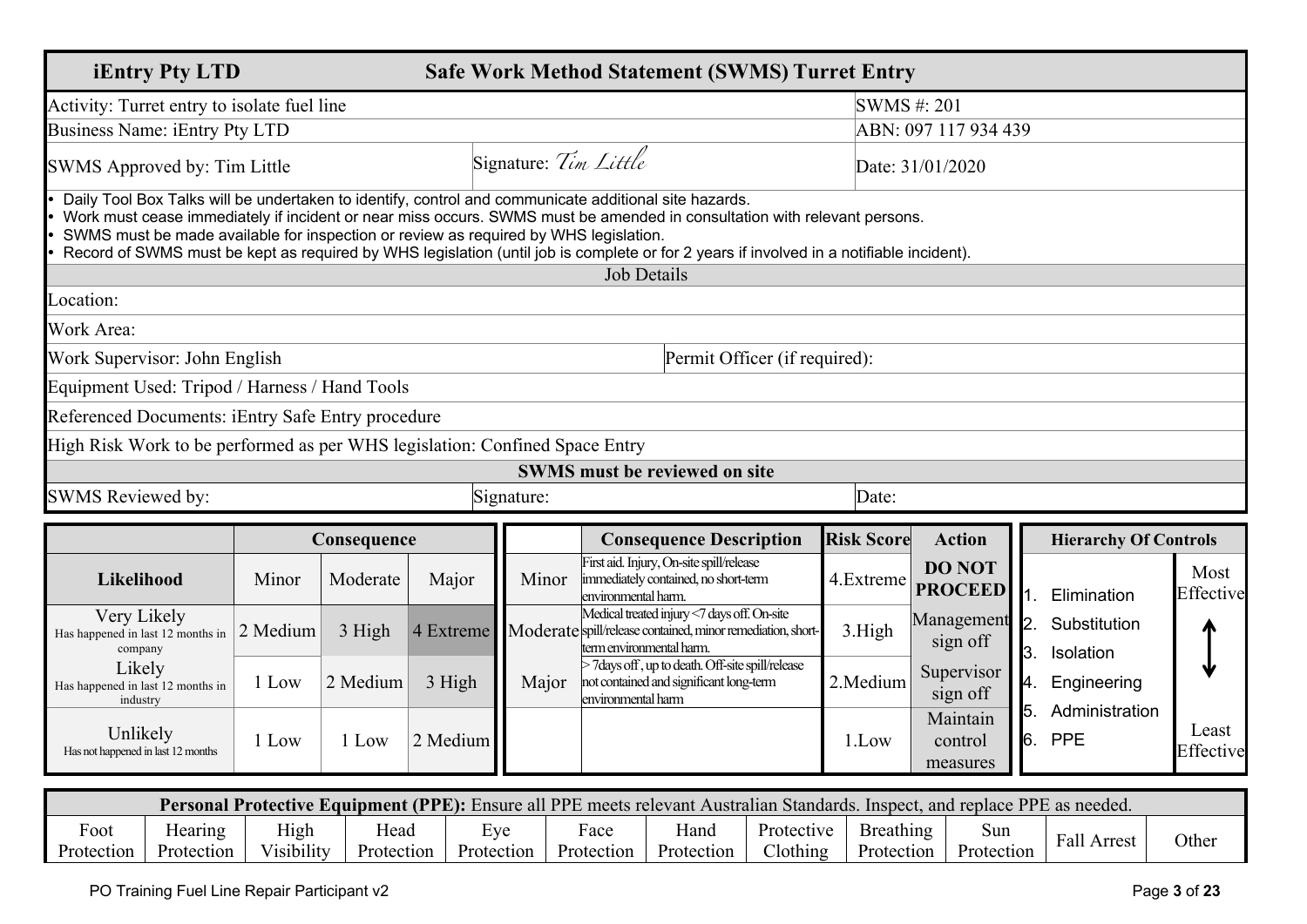| <b>iEntry Pty LTD</b>                                                       |                                                                                                                                                                                                                                                                                                                                                                                                                                                                      |             |           |                       | <b>Safe Work Method Statement (SWMS) Turret Entry</b>                                                                                  |                   |                                 |                                          |                    |
|-----------------------------------------------------------------------------|----------------------------------------------------------------------------------------------------------------------------------------------------------------------------------------------------------------------------------------------------------------------------------------------------------------------------------------------------------------------------------------------------------------------------------------------------------------------|-------------|-----------|-----------------------|----------------------------------------------------------------------------------------------------------------------------------------|-------------------|---------------------------------|------------------------------------------|--------------------|
| Activity: Turret entry to isolate fuel line                                 |                                                                                                                                                                                                                                                                                                                                                                                                                                                                      |             |           |                       | SWMS#: 201                                                                                                                             |                   |                                 |                                          |                    |
| <b>Business Name: iEntry Pty LTD</b>                                        |                                                                                                                                                                                                                                                                                                                                                                                                                                                                      |             |           |                       |                                                                                                                                        |                   | ABN: 097 117 934 439            |                                          |                    |
| SWMS Approved by: Tim Little                                                |                                                                                                                                                                                                                                                                                                                                                                                                                                                                      |             |           | Signature: Tim Little |                                                                                                                                        |                   | Date: 31/01/2020                |                                          |                    |
|                                                                             | Daily Tool Box Talks will be undertaken to identify, control and communicate additional site hazards.<br>Work must cease immediately if incident or near miss occurs. SWMS must be amended in consultation with relevant persons.<br>SWMS must be made available for inspection or review as required by WHS legislation.<br>Record of SWMS must be kept as required by WHS legislation (until job is complete or for 2 years if involved in a notifiable incident). |             |           |                       |                                                                                                                                        |                   |                                 |                                          |                    |
|                                                                             |                                                                                                                                                                                                                                                                                                                                                                                                                                                                      |             |           |                       | <b>Job Details</b>                                                                                                                     |                   |                                 |                                          |                    |
| Location:                                                                   |                                                                                                                                                                                                                                                                                                                                                                                                                                                                      |             |           |                       |                                                                                                                                        |                   |                                 |                                          |                    |
| Work Area:                                                                  |                                                                                                                                                                                                                                                                                                                                                                                                                                                                      |             |           |                       |                                                                                                                                        |                   |                                 |                                          |                    |
| Work Supervisor: John English                                               |                                                                                                                                                                                                                                                                                                                                                                                                                                                                      |             |           |                       | Permit Officer (if required):                                                                                                          |                   |                                 |                                          |                    |
| Equipment Used: Tripod / Harness / Hand Tools                               |                                                                                                                                                                                                                                                                                                                                                                                                                                                                      |             |           |                       |                                                                                                                                        |                   |                                 |                                          |                    |
| Referenced Documents: iEntry Safe Entry procedure                           |                                                                                                                                                                                                                                                                                                                                                                                                                                                                      |             |           |                       |                                                                                                                                        |                   |                                 |                                          |                    |
| High Risk Work to be performed as per WHS legislation: Confined Space Entry |                                                                                                                                                                                                                                                                                                                                                                                                                                                                      |             |           |                       |                                                                                                                                        |                   |                                 |                                          |                    |
|                                                                             |                                                                                                                                                                                                                                                                                                                                                                                                                                                                      |             |           |                       | <b>SWMS</b> must be reviewed on site                                                                                                   |                   |                                 |                                          |                    |
| <b>SWMS Reviewed by:</b>                                                    |                                                                                                                                                                                                                                                                                                                                                                                                                                                                      |             |           | Signature:            |                                                                                                                                        | Date:             |                                 |                                          |                    |
|                                                                             |                                                                                                                                                                                                                                                                                                                                                                                                                                                                      | Consequence |           |                       | <b>Consequence Description</b>                                                                                                         | <b>Risk Score</b> | <b>Action</b>                   | <b>Hierarchy Of Controls</b>             |                    |
| Likelihood                                                                  | Minor                                                                                                                                                                                                                                                                                                                                                                                                                                                                | Moderate    | Major     | Minor                 | First aid. Injury, On-site spill/release<br>immediately contained, no short-term<br>environmental harm.                                | 4.Extreme         | <b>DO NOT</b><br><b>PROCEED</b> | 1.<br>Elimination                        | Most<br>Effective  |
| Very Likely<br>Has happened in last 12 months in<br>company                 | 2 Medium                                                                                                                                                                                                                                                                                                                                                                                                                                                             | 3 High      | 4 Extreme |                       | Medical treated injury <7 days off. On-site<br>Moderate spill/release contained, minor remediation, short-<br>term environmental harm. | 3.High            | Management<br>sign off          | Substitution<br>12.<br>3.<br>Isolation   |                    |
| Likely<br>Has happened in last 12 months in<br>industry                     | 1 Low                                                                                                                                                                                                                                                                                                                                                                                                                                                                | 2 Medium    | 3 High    | Major                 | >7 days off, up to death. Off-site spill/release<br>not contained and significant long-term<br>environmental harm                      | 2.Medium          | Supervisor<br>sign off          | 4.<br>Engineering                        |                    |
| Unlikely<br>Has not happened in last 12 months                              | 1 Low                                                                                                                                                                                                                                                                                                                                                                                                                                                                | 1 Low       | 2 Medium  |                       |                                                                                                                                        | 1.Low             | Maintain<br>control<br>measures | 5.<br>Administration<br>6.<br><b>PPE</b> | Least<br>Effective |

|                         | <b>Personal Protective Equipment (PPE):</b> Ensure all PPE meets relevant Australian Standards. Inspect, and replace PPE as needed. |                    |                    |                   |                    |                    |                        |                         |                   |                |       |
|-------------------------|-------------------------------------------------------------------------------------------------------------------------------------|--------------------|--------------------|-------------------|--------------------|--------------------|------------------------|-------------------------|-------------------|----------------|-------|
| Ē<br>Foot<br>Protection | Hearing<br>Protection                                                                                                               | High<br>Visibility | ⊣ead<br>Protection | Eve<br>Protection | Face<br>Protection | Hano<br>Protection | Protective<br>Clothing | Breathing<br>Protection | Sun<br>Protection | Fall<br>Arrest | Other |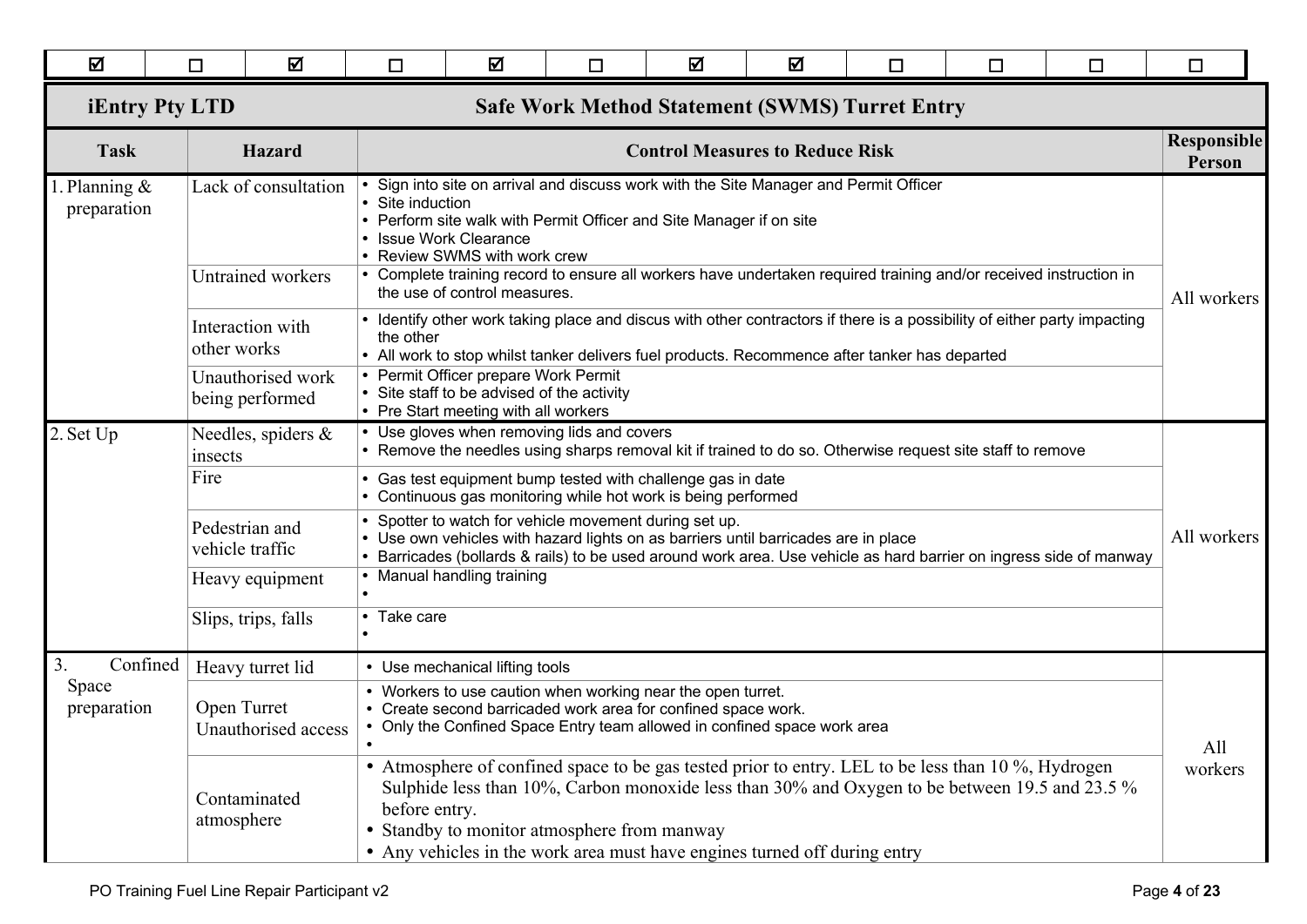| ☑                         | □                                                                              | 冈                                                | $\Box$                                                                                                                                                                                                                                                                                                                                            | 冈                                                                                                                                                                                                                                                                                                                                                                                               | $\Box$ | ☑ | ☑                                      | $\Box$      | □ | $\Box$                                                                                                                   | $\Box$                       |
|---------------------------|--------------------------------------------------------------------------------|--------------------------------------------------|---------------------------------------------------------------------------------------------------------------------------------------------------------------------------------------------------------------------------------------------------------------------------------------------------------------------------------------------------|-------------------------------------------------------------------------------------------------------------------------------------------------------------------------------------------------------------------------------------------------------------------------------------------------------------------------------------------------------------------------------------------------|--------|---|----------------------------------------|-------------|---|--------------------------------------------------------------------------------------------------------------------------|------------------------------|
|                           | <b>iEntry Pty LTD</b><br><b>Safe Work Method Statement (SWMS) Turret Entry</b> |                                                  |                                                                                                                                                                                                                                                                                                                                                   |                                                                                                                                                                                                                                                                                                                                                                                                 |        |   |                                        |             |   |                                                                                                                          |                              |
| <b>Task</b>               |                                                                                | <b>Hazard</b>                                    |                                                                                                                                                                                                                                                                                                                                                   |                                                                                                                                                                                                                                                                                                                                                                                                 |        |   | <b>Control Measures to Reduce Risk</b> |             |   |                                                                                                                          | <b>Responsible</b><br>Person |
| Planning &<br>preparation |                                                                                | Lack of consultation<br><b>Untrained workers</b> |                                                                                                                                                                                                                                                                                                                                                   | • Sign into site on arrival and discuss work with the Site Manager and Permit Officer<br>• Site induction<br>• Perform site walk with Permit Officer and Site Manager if on site<br>• Issue Work Clearance<br>• Review SWMS with work crew<br>• Complete training record to ensure all workers have undertaken required training and/or received instruction in<br>the use of control measures. |        |   |                                        |             |   |                                                                                                                          | All workers                  |
|                           | other works                                                                    | Interaction with                                 | the other                                                                                                                                                                                                                                                                                                                                         |                                                                                                                                                                                                                                                                                                                                                                                                 |        |   |                                        |             |   | • Identify other work taking place and discus with other contractors if there is a possibility of either party impacting |                              |
|                           |                                                                                | Unauthorised work<br>being performed             | • All work to stop whilst tanker delivers fuel products. Recommence after tanker has departed<br>• Permit Officer prepare Work Permit<br>• Site staff to be advised of the activity<br>• Pre Start meeting with all workers                                                                                                                       |                                                                                                                                                                                                                                                                                                                                                                                                 |        |   |                                        |             |   |                                                                                                                          |                              |
| 2. Set Up                 | insects                                                                        | Needles, spiders &                               | • Use gloves when removing lids and covers<br>• Remove the needles using sharps removal kit if trained to do so. Otherwise request site staff to remove                                                                                                                                                                                           |                                                                                                                                                                                                                                                                                                                                                                                                 |        |   |                                        |             |   |                                                                                                                          |                              |
|                           | Fire                                                                           |                                                  | • Gas test equipment bump tested with challenge gas in date<br>• Continuous gas monitoring while hot work is being performed                                                                                                                                                                                                                      |                                                                                                                                                                                                                                                                                                                                                                                                 |        |   |                                        |             |   |                                                                                                                          |                              |
|                           |                                                                                | Pedestrian and<br>vehicle traffic                | • Spotter to watch for vehicle movement during set up.<br>• Use own vehicles with hazard lights on as barriers until barricades are in place<br>• Barricades (bollards & rails) to be used around work area. Use vehicle as hard barrier on ingress side of manway                                                                                |                                                                                                                                                                                                                                                                                                                                                                                                 |        |   |                                        | All workers |   |                                                                                                                          |                              |
|                           |                                                                                | Heavy equipment                                  |                                                                                                                                                                                                                                                                                                                                                   | • Manual handling training                                                                                                                                                                                                                                                                                                                                                                      |        |   |                                        |             |   |                                                                                                                          |                              |
|                           |                                                                                | Slips, trips, falls                              | • Take care                                                                                                                                                                                                                                                                                                                                       |                                                                                                                                                                                                                                                                                                                                                                                                 |        |   |                                        |             |   |                                                                                                                          |                              |
| 3.<br>Confined            |                                                                                | Heavy turret lid                                 |                                                                                                                                                                                                                                                                                                                                                   | • Use mechanical lifting tools                                                                                                                                                                                                                                                                                                                                                                  |        |   |                                        |             |   |                                                                                                                          |                              |
| Space<br>preparation      | Open Turret                                                                    | Unauthorised access                              | • Workers to use caution when working near the open turret.<br>• Create second barricaded work area for confined space work.<br>• Only the Confined Space Entry team allowed in confined space work area<br>$\bullet$                                                                                                                             |                                                                                                                                                                                                                                                                                                                                                                                                 |        |   |                                        |             |   |                                                                                                                          | All                          |
|                           | atmosphere                                                                     | Contaminated                                     | • Atmosphere of confined space to be gas tested prior to entry. LEL to be less than 10 %, Hydrogen<br>Sulphide less than 10%, Carbon monoxide less than 30% and Oxygen to be between 19.5 and 23.5 %<br>before entry.<br>• Standby to monitor atmosphere from manway<br>• Any vehicles in the work area must have engines turned off during entry |                                                                                                                                                                                                                                                                                                                                                                                                 |        |   |                                        |             |   |                                                                                                                          | workers                      |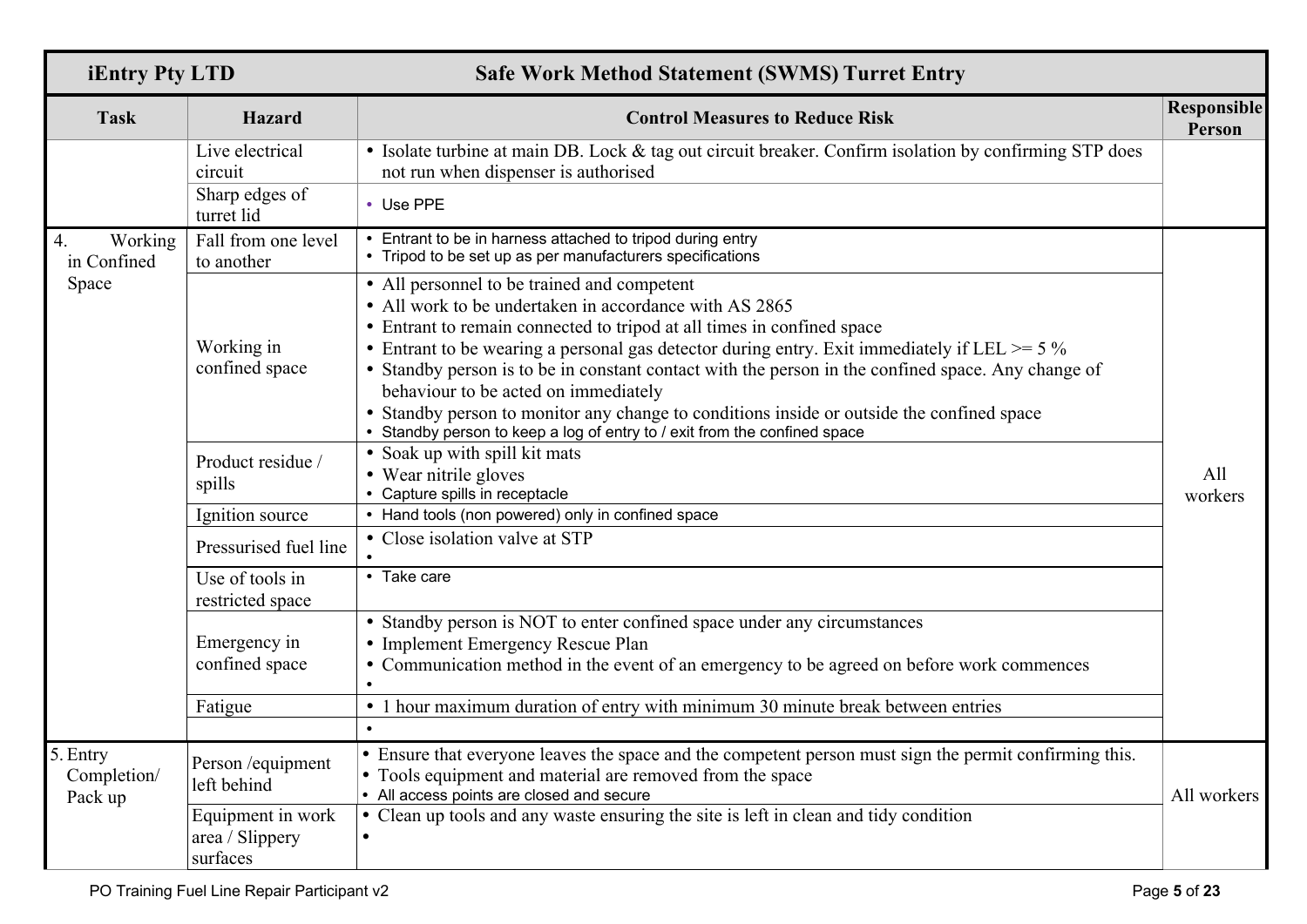| <b>iEntry Pty LTD</b>              |                                                  | <b>Safe Work Method Statement (SWMS) Turret Entry</b>                                                                                                                                                                                                                                                                                                                                                                                                                                                                                                                                                     |                              |  |  |  |  |
|------------------------------------|--------------------------------------------------|-----------------------------------------------------------------------------------------------------------------------------------------------------------------------------------------------------------------------------------------------------------------------------------------------------------------------------------------------------------------------------------------------------------------------------------------------------------------------------------------------------------------------------------------------------------------------------------------------------------|------------------------------|--|--|--|--|
| <b>Task</b>                        | Hazard                                           | <b>Control Measures to Reduce Risk</b>                                                                                                                                                                                                                                                                                                                                                                                                                                                                                                                                                                    | <b>Responsible</b><br>Person |  |  |  |  |
|                                    | Live electrical<br>circuit                       | • Isolate turbine at main DB. Lock & tag out circuit breaker. Confirm isolation by confirming STP does<br>not run when dispenser is authorised                                                                                                                                                                                                                                                                                                                                                                                                                                                            |                              |  |  |  |  |
|                                    | Sharp edges of<br>turret lid                     | • Use PPE                                                                                                                                                                                                                                                                                                                                                                                                                                                                                                                                                                                                 |                              |  |  |  |  |
| Working<br>4.<br>in Confined       | Fall from one level<br>to another                | • Entrant to be in harness attached to tripod during entry<br>• Tripod to be set up as per manufacturers specifications                                                                                                                                                                                                                                                                                                                                                                                                                                                                                   |                              |  |  |  |  |
| Space                              | Working in<br>confined space                     | • All personnel to be trained and competent<br>• All work to be undertaken in accordance with AS 2865<br>• Entrant to remain connected to tripod at all times in confined space<br>• Entrant to be wearing a personal gas detector during entry. Exit immediately if LEL $>= 5\%$<br>• Standby person is to be in constant contact with the person in the confined space. Any change of<br>behaviour to be acted on immediately<br>• Standby person to monitor any change to conditions inside or outside the confined space<br>• Standby person to keep a log of entry to / exit from the confined space |                              |  |  |  |  |
|                                    | Product residue /<br>spills                      | • Soak up with spill kit mats<br>• Wear nitrile gloves<br>• Capture spills in receptacle                                                                                                                                                                                                                                                                                                                                                                                                                                                                                                                  | All<br>workers               |  |  |  |  |
|                                    | Ignition source                                  | • Hand tools (non powered) only in confined space                                                                                                                                                                                                                                                                                                                                                                                                                                                                                                                                                         |                              |  |  |  |  |
|                                    | Pressurised fuel line                            | • Close isolation valve at STP                                                                                                                                                                                                                                                                                                                                                                                                                                                                                                                                                                            |                              |  |  |  |  |
|                                    | Use of tools in<br>restricted space              | • Take care                                                                                                                                                                                                                                                                                                                                                                                                                                                                                                                                                                                               |                              |  |  |  |  |
|                                    | Emergency in<br>confined space                   | • Standby person is NOT to enter confined space under any circumstances<br>• Implement Emergency Rescue Plan<br>• Communication method in the event of an emergency to be agreed on before work commences                                                                                                                                                                                                                                                                                                                                                                                                 |                              |  |  |  |  |
|                                    | Fatigue                                          | • 1 hour maximum duration of entry with minimum 30 minute break between entries<br>$\bullet$                                                                                                                                                                                                                                                                                                                                                                                                                                                                                                              |                              |  |  |  |  |
| 5. Entry<br>Completion/<br>Pack up | Person / equipment<br>left behind                | • Ensure that everyone leaves the space and the competent person must sign the permit confirming this.<br>• Tools equipment and material are removed from the space<br>• All access points are closed and secure                                                                                                                                                                                                                                                                                                                                                                                          | All workers                  |  |  |  |  |
|                                    | Equipment in work<br>area / Slippery<br>surfaces | Clean up tools and any waste ensuring the site is left in clean and tidy condition<br>$\bullet$                                                                                                                                                                                                                                                                                                                                                                                                                                                                                                           |                              |  |  |  |  |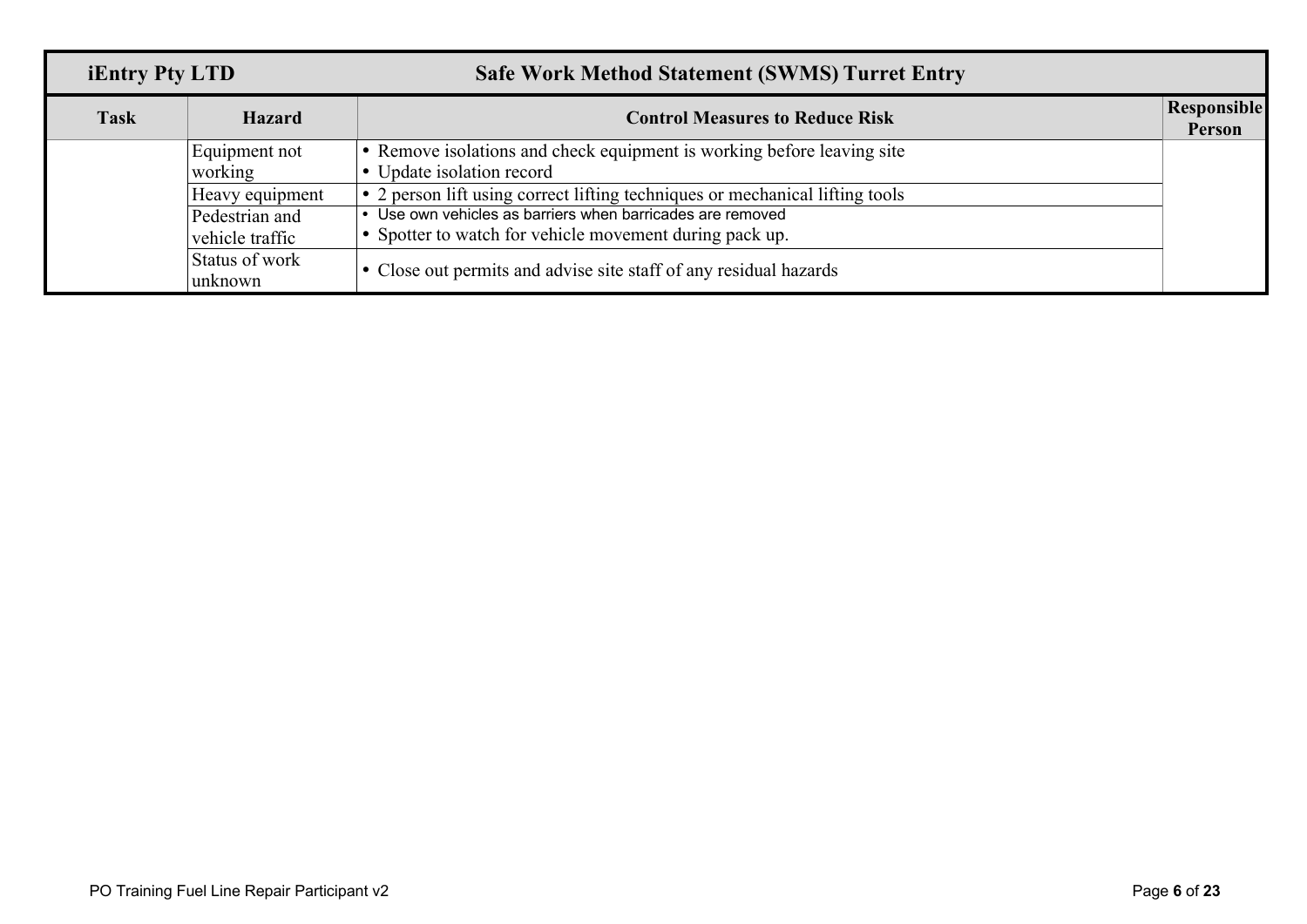| <b>iEntry Pty LTD</b> |                 | <b>Safe Work Method Statement (SWMS) Turret Entry</b>                        |                              |
|-----------------------|-----------------|------------------------------------------------------------------------------|------------------------------|
| <b>Task</b>           | <b>Hazard</b>   | <b>Control Measures to Reduce Risk</b>                                       | <b>Responsible</b><br>Person |
|                       | Equipment not   | Remove isolations and check equipment is working before leaving site         |                              |
|                       | working         | • Update isolation record                                                    |                              |
|                       | Heavy equipment | • 2 person lift using correct lifting techniques or mechanical lifting tools |                              |
|                       | Pedestrian and  | • Use own vehicles as barriers when barricades are removed                   |                              |
|                       | vehicle traffic | • Spotter to watch for vehicle movement during pack up.                      |                              |
|                       | Status of work  |                                                                              |                              |
|                       | unknown         | • Close out permits and advise site staff of any residual hazards            |                              |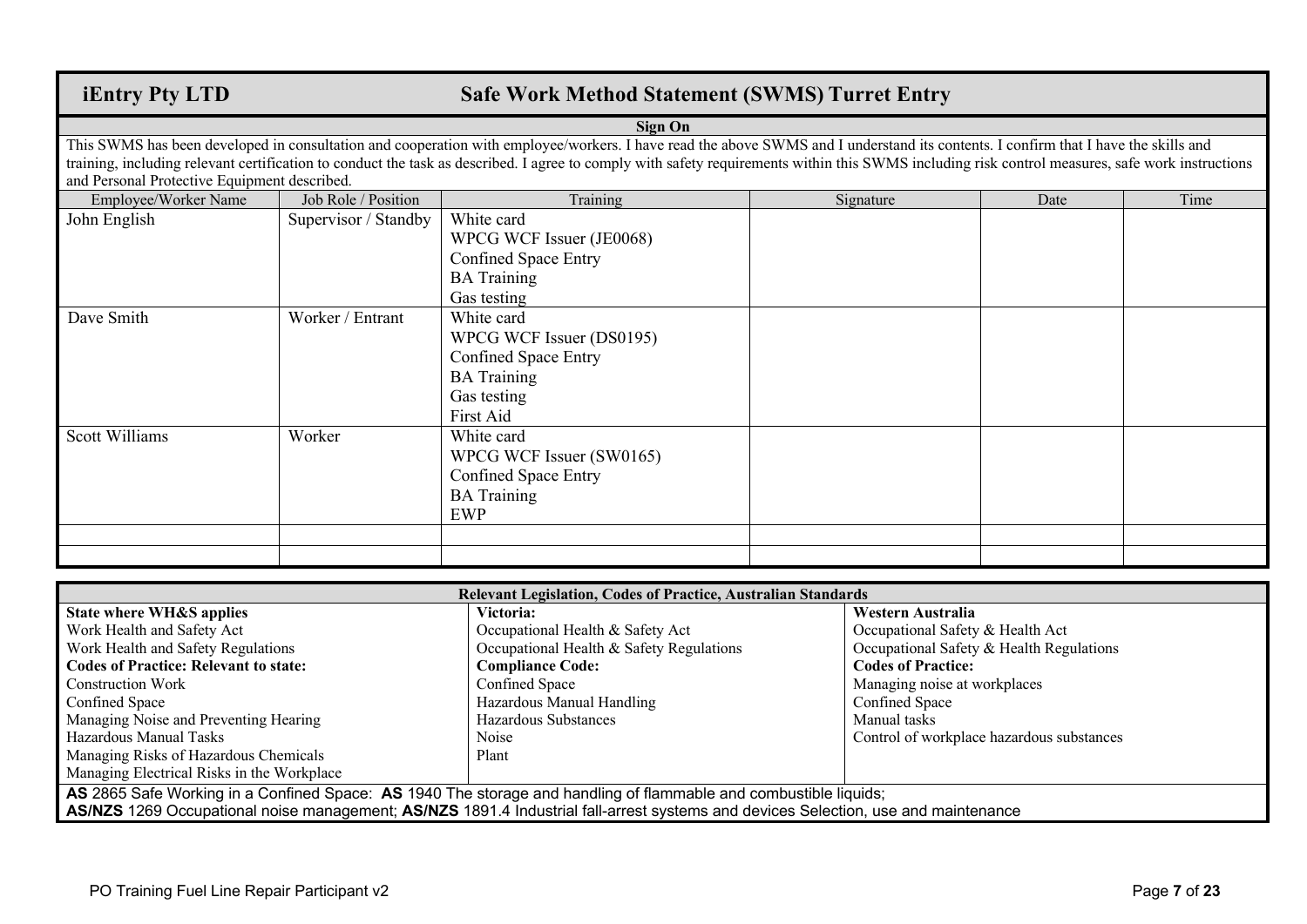### **iEntry Pty LTD Safe Work Method Statement (SWMS) Turret Entry**

#### **Sign On**

This SWMS has been developed in consultation and cooperation with employee/workers. I have read the above SWMS and I understand its contents. I confirm that I have the skills and training, including relevant certification to conduct the task as described. I agree to comply with safety requirements within this SWMS including risk control measures, safe work instructions and Personal Protective Equipment described.

| Employee/Worker Name | Job Role / Position  | Training                                                                                                                | Signature | Date | Time |
|----------------------|----------------------|-------------------------------------------------------------------------------------------------------------------------|-----------|------|------|
| John English         | Supervisor / Standby | White card<br>WPCG WCF Issuer (JE0068)<br><b>Confined Space Entry</b><br><b>BA</b> Training<br>Gas testing              |           |      |      |
| Dave Smith           | Worker / Entrant     | White card<br>WPCG WCF Issuer (DS0195)<br><b>Confined Space Entry</b><br><b>BA</b> Training<br>Gas testing<br>First Aid |           |      |      |
| Scott Williams       | Worker               | White card<br>WPCG WCF Issuer (SW0165)<br><b>Confined Space Entry</b><br><b>BA</b> Training<br>EWP                      |           |      |      |
|                      |                      |                                                                                                                         |           |      |      |
|                      |                      |                                                                                                                         |           |      |      |

| Relevant Legislation, Codes of Practice, Australian Standards                                                                      |                                          |                                           |  |  |  |  |  |  |
|------------------------------------------------------------------------------------------------------------------------------------|------------------------------------------|-------------------------------------------|--|--|--|--|--|--|
| State where WH&S applies                                                                                                           | Victoria:                                | Western Australia                         |  |  |  |  |  |  |
| Work Health and Safety Act                                                                                                         | Occupational Health & Safety Act         | Occupational Safety & Health Act          |  |  |  |  |  |  |
| Work Health and Safety Regulations                                                                                                 | Occupational Health & Safety Regulations | Occupational Safety & Health Regulations  |  |  |  |  |  |  |
| <b>Codes of Practice: Relevant to state:</b>                                                                                       | <b>Compliance Code:</b>                  | <b>Codes of Practice:</b>                 |  |  |  |  |  |  |
| Construction Work                                                                                                                  | Confined Space                           | Managing noise at workplaces              |  |  |  |  |  |  |
| Confined Space                                                                                                                     | Hazardous Manual Handling                | Confined Space                            |  |  |  |  |  |  |
| Managing Noise and Preventing Hearing                                                                                              | Hazardous Substances                     | Manual tasks                              |  |  |  |  |  |  |
| Hazardous Manual Tasks                                                                                                             | Noise                                    | Control of workplace hazardous substances |  |  |  |  |  |  |
| Managing Risks of Hazardous Chemicals                                                                                              | Plant                                    |                                           |  |  |  |  |  |  |
| Managing Electrical Risks in the Workplace                                                                                         |                                          |                                           |  |  |  |  |  |  |
| AS 2865 Safe Working in a Confined Space: AS 1940 The storage and handling of flammable and combustible liquids;                   |                                          |                                           |  |  |  |  |  |  |
| AS/NZS 1269 Occupational noise management; AS/NZS 1891.4 Industrial fall-arrest systems and devices Selection, use and maintenance |                                          |                                           |  |  |  |  |  |  |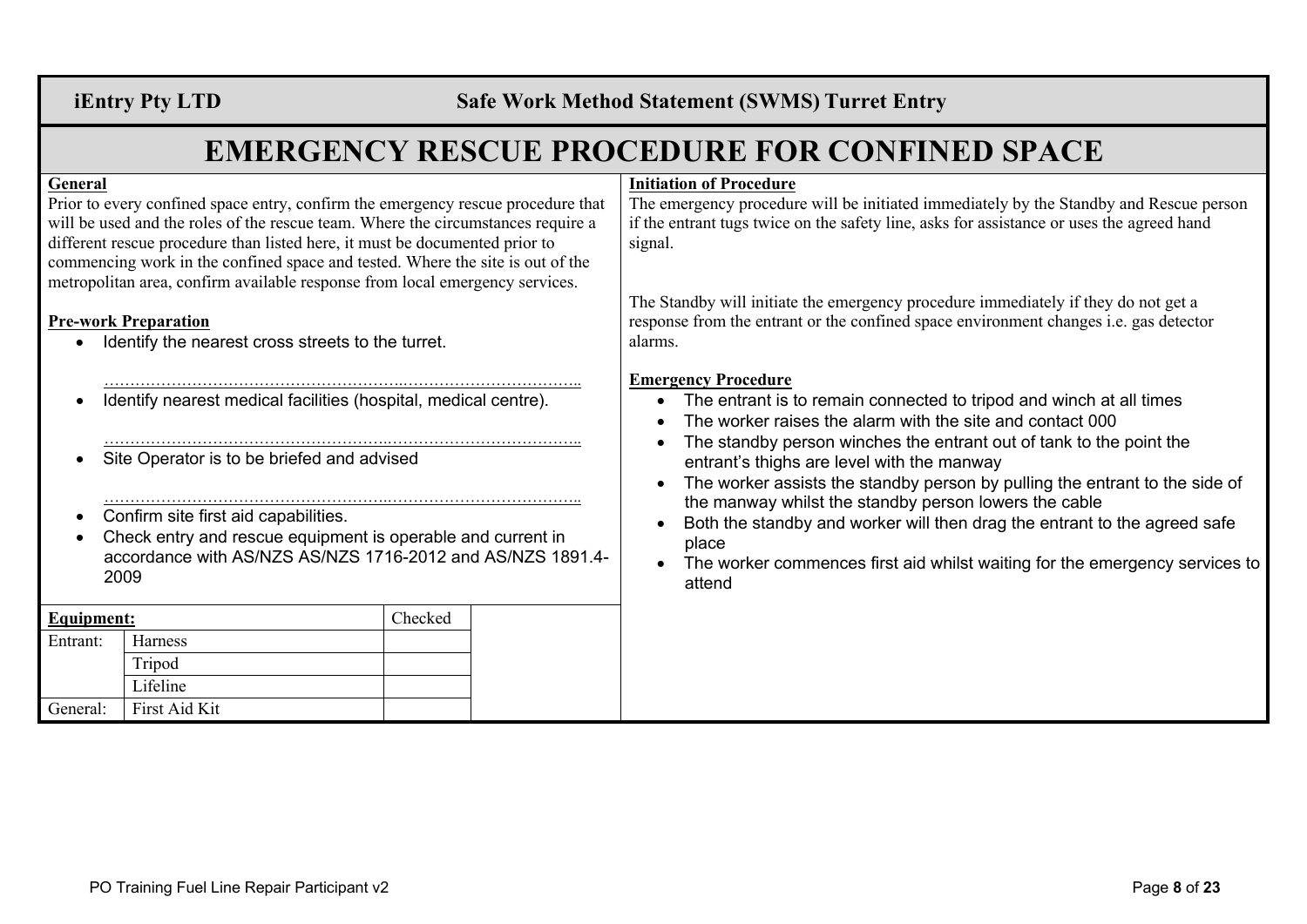**iEntry Pty LTD Safe Work Method Statement (SWMS) Turret Entry**

## **EMERGENCY RESCUE PROCEDURE FOR CONFINED SPACE**

#### **General**

Prior to every confined space entry, confirm the emergency rescue procedure that will be used and the roles of the rescue team. Where the circumstances require a different rescue procedure than listed here, it must be documented prior to commencing work in the confined space and tested. Where the site is out of the metropolitan area, confirm available response from local emergency services.

#### **Pre-work Preparation**

- Identify the nearest cross streets to the turret.
- Identify nearest medical facilities (hospital, medical centre).

………………………………………………….……………………………..

- ……………………………………………….……………………………….. Site Operator is to be briefed and advised
- ……………………………………………….……………………………….. • Confirm site first aid capabilities.
- Check entry and rescue equipment is operable and current in accordance with AS/NZS AS/NZS 1716-2012 and AS/NZS 1891.4- 2009

| <b>Equipment:</b> | Checked                |  |
|-------------------|------------------------|--|
| Entrant:          | Harness                |  |
|                   | Tripod                 |  |
|                   | Lifeline               |  |
|                   | General: First Aid Kit |  |

#### **Initiation of Procedure**

The emergency procedure will be initiated immediately by the Standby and Rescue person if the entrant tugs twice on the safety line, asks for assistance or uses the agreed hand signal.

The Standby will initiate the emergency procedure immediately if they do not get a response from the entrant or the confined space environment changes i.e. gas detector alarms.

#### **Emergency Procedure**

- The entrant is to remain connected to tripod and winch at all times
- The worker raises the alarm with the site and contact 000
- The standby person winches the entrant out of tank to the point the entrant's thighs are level with the manway
- The worker assists the standby person by pulling the entrant to the side of the manway whilst the standby person lowers the cable
- Both the standby and worker will then drag the entrant to the agreed safe place
- The worker commences first aid whilst waiting for the emergency services to attend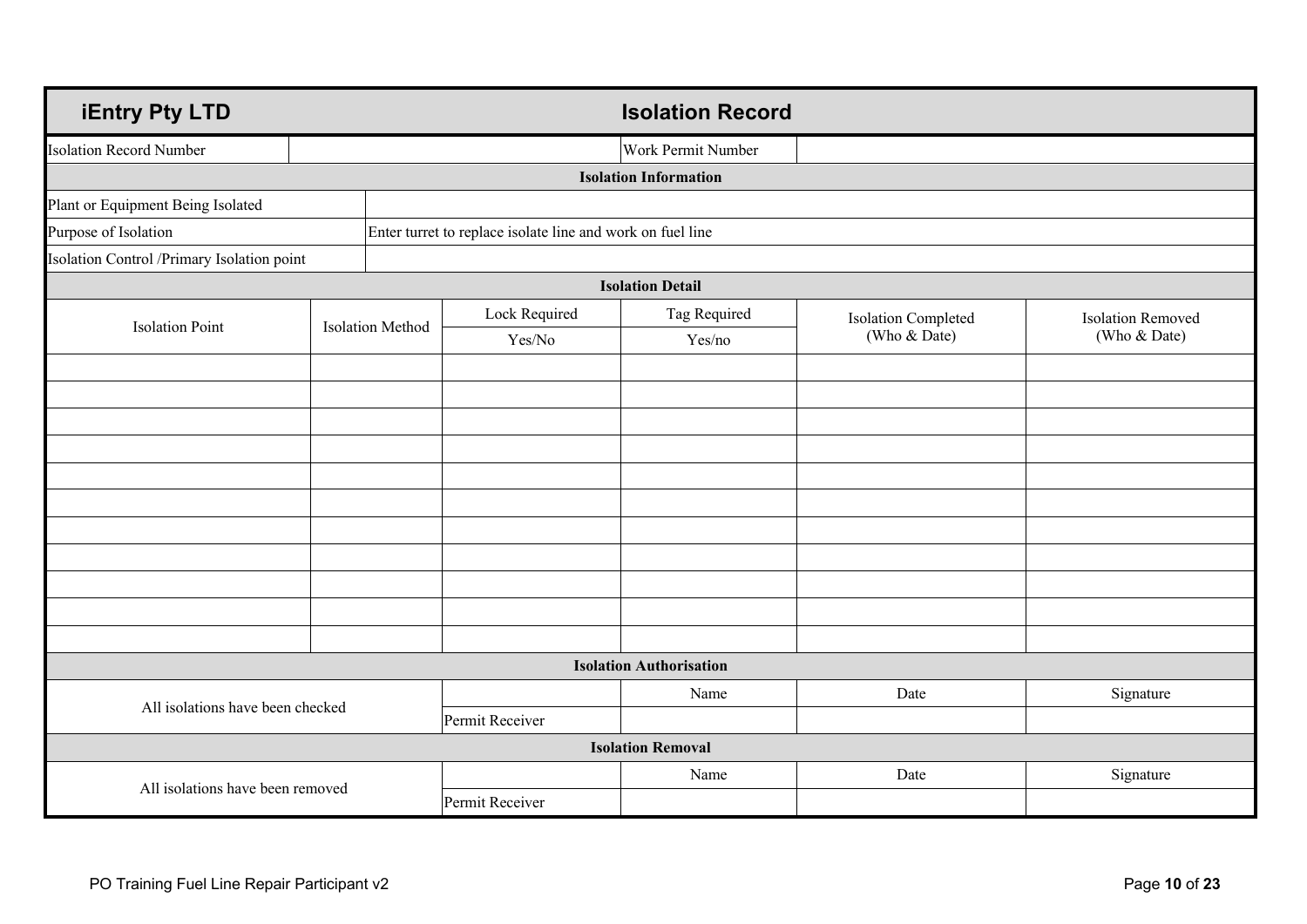| <b>iEntry Pty LTD</b>                      |  |                         |                                                            | <b>Isolation Record</b>        |                            |                          |
|--------------------------------------------|--|-------------------------|------------------------------------------------------------|--------------------------------|----------------------------|--------------------------|
| <b>Isolation Record Number</b>             |  |                         |                                                            | Work Permit Number             |                            |                          |
|                                            |  |                         |                                                            | <b>Isolation Information</b>   |                            |                          |
| Plant or Equipment Being Isolated          |  |                         |                                                            |                                |                            |                          |
| Purpose of Isolation                       |  |                         | Enter turret to replace isolate line and work on fuel line |                                |                            |                          |
| Isolation Control /Primary Isolation point |  |                         |                                                            |                                |                            |                          |
|                                            |  |                         |                                                            | <b>Isolation Detail</b>        |                            |                          |
| <b>Isolation Point</b>                     |  | <b>Isolation Method</b> | Lock Required                                              | Tag Required                   | <b>Isolation Completed</b> | <b>Isolation Removed</b> |
|                                            |  |                         | Yes/No                                                     | Yes/no                         | (Who & Date)               | (Who & Date)             |
|                                            |  |                         |                                                            |                                |                            |                          |
|                                            |  |                         |                                                            |                                |                            |                          |
|                                            |  |                         |                                                            |                                |                            |                          |
|                                            |  |                         |                                                            |                                |                            |                          |
|                                            |  |                         |                                                            |                                |                            |                          |
|                                            |  |                         |                                                            |                                |                            |                          |
|                                            |  |                         |                                                            |                                |                            |                          |
|                                            |  |                         |                                                            |                                |                            |                          |
|                                            |  |                         |                                                            |                                |                            |                          |
|                                            |  |                         |                                                            |                                |                            |                          |
|                                            |  |                         |                                                            |                                |                            |                          |
|                                            |  |                         |                                                            | <b>Isolation Authorisation</b> |                            |                          |
| All isolations have been checked           |  |                         | Name                                                       | Date                           | Signature                  |                          |
|                                            |  |                         | Permit Receiver                                            |                                |                            |                          |
|                                            |  |                         |                                                            | <b>Isolation Removal</b>       |                            |                          |
| All isolations have been removed           |  |                         |                                                            | Name                           | Date                       | Signature                |
|                                            |  |                         | Permit Receiver                                            |                                |                            |                          |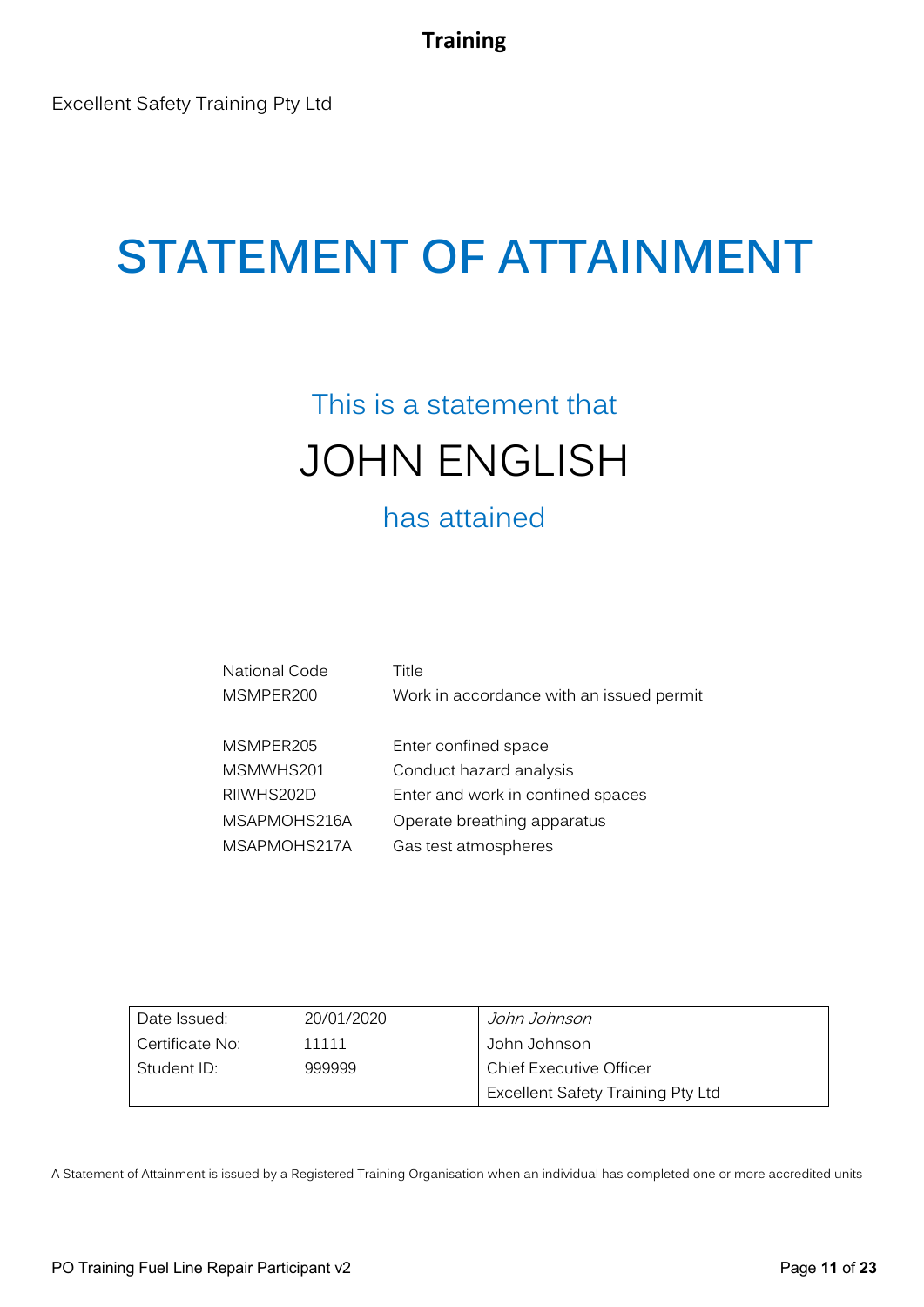## This is a statement that JOHN ENGLISH

## has attained

| National Code | Title                                    |
|---------------|------------------------------------------|
| MSMPER200     | Work in accordance with an issued permit |
|               |                                          |
| MSMPER205     | Enter confined space                     |
| MSMWHS201     | Conduct hazard analysis                  |
| RIIWHS202D    | Enter and work in confined spaces        |
| MSAPMOHS216A  | Operate breathing apparatus              |
| MSAPMOHS217A  | Gas test atmospheres                     |
|               |                                          |

| Date Issued:    | 20/01/2020 | John Johnson                      |
|-----------------|------------|-----------------------------------|
| Certificate No: | 11111      | John Johnson                      |
| Student ID:     | 999999     | <b>Chief Executive Officer</b>    |
|                 |            | Excellent Safety Training Pty Ltd |

A Statement of Attainment is issued by a Registered Training Organisation when an individual has completed one or more accredited units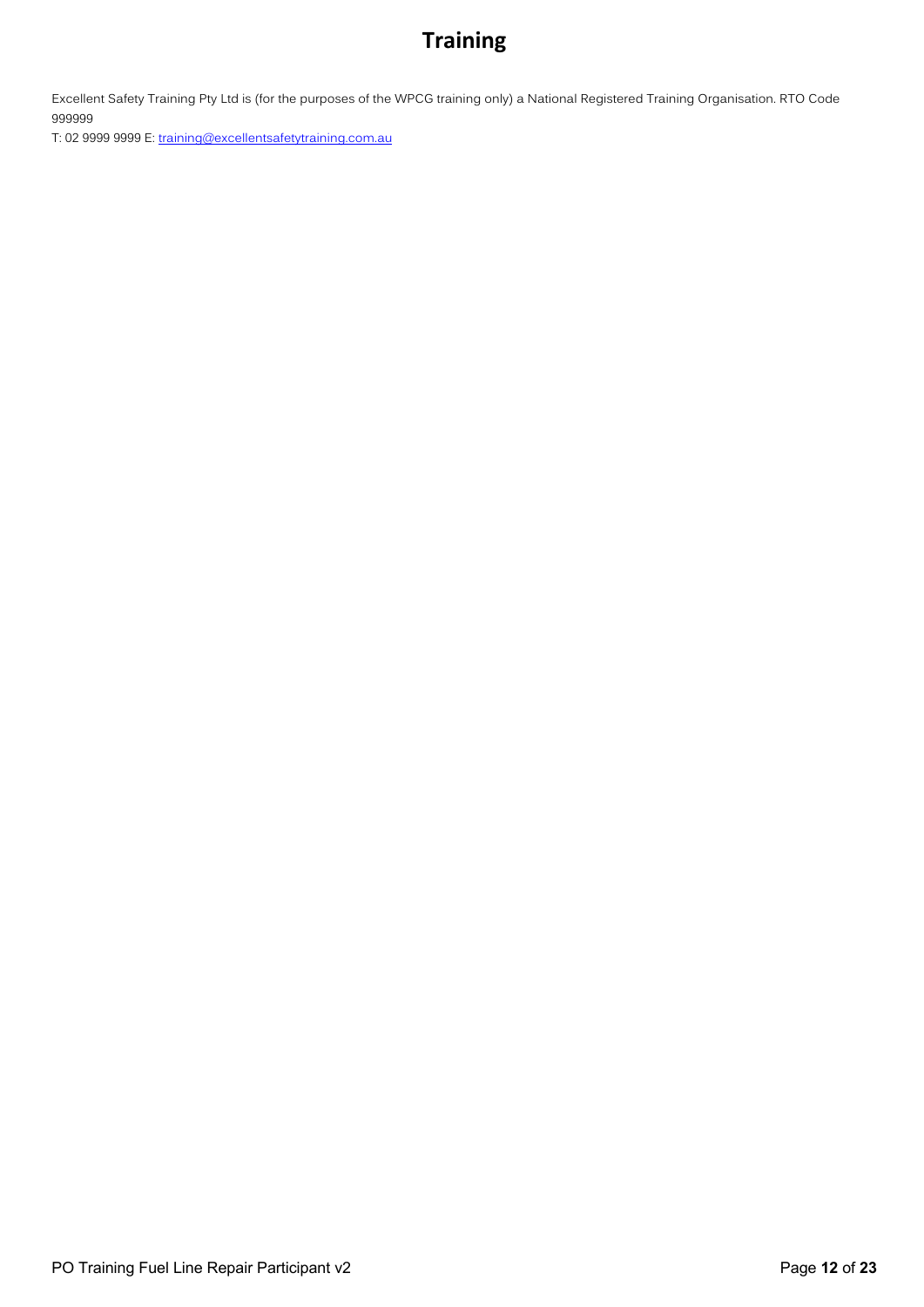Excellent Safety Training Pty Ltd is (for the purposes of the WPCG training only) a National Registered Training Organisation. RTO Code 999999

T: 02 9999 9999 E: training@excellentsafetytraining.com.au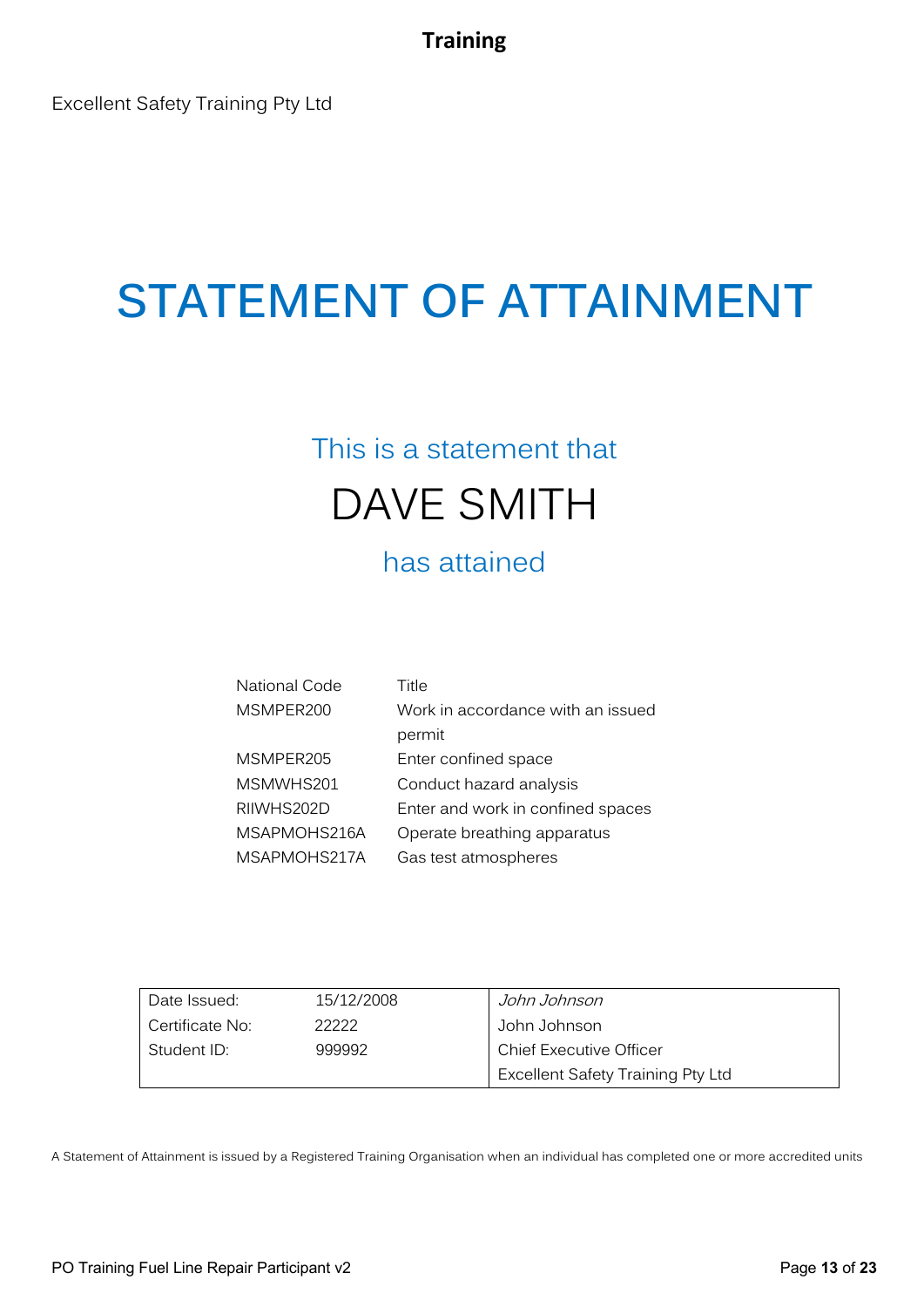Excellent Safety Training Pty Ltd

# **STATEMENT OF ATTAINMENT**

## This is a statement that DAVE SMITH

has attained

| National Code | Title                             |
|---------------|-----------------------------------|
| MSMPER200     | Work in accordance with an issued |
|               | permit                            |
| MSMPER205     | Enter confined space              |
| MSMWHS201     | Conduct hazard analysis           |
| RIIWHS202D    | Enter and work in confined spaces |
| MSAPMOHS216A  | Operate breathing apparatus       |
| MSAPMOHS217A  | Gas test atmospheres              |

| Date Issued:    | 15/12/2008 | John Johnson                      |
|-----------------|------------|-----------------------------------|
| Certificate No: | 22222      | John Johnson                      |
| Student ID:     | 999992     | <b>Chief Executive Officer</b>    |
|                 |            | Excellent Safety Training Pty Ltd |

A Statement of Attainment is issued by a Registered Training Organisation when an individual has completed one or more accredited units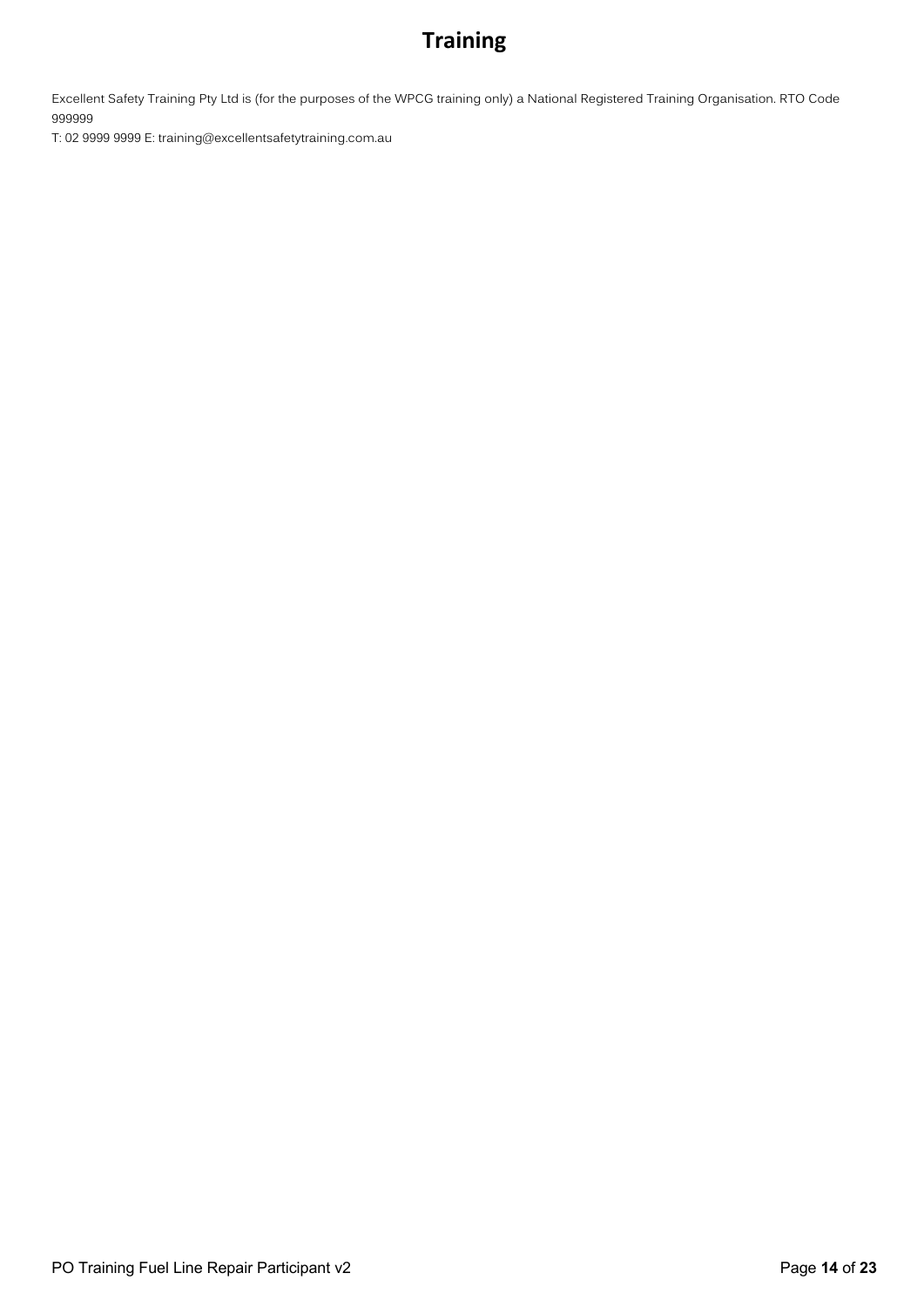Excellent Safety Training Pty Ltd is (for the purposes of the WPCG training only) a National Registered Training Organisation. RTO Code 999999

T: 02 9999 9999 E: training@excellentsafetytraining.com.au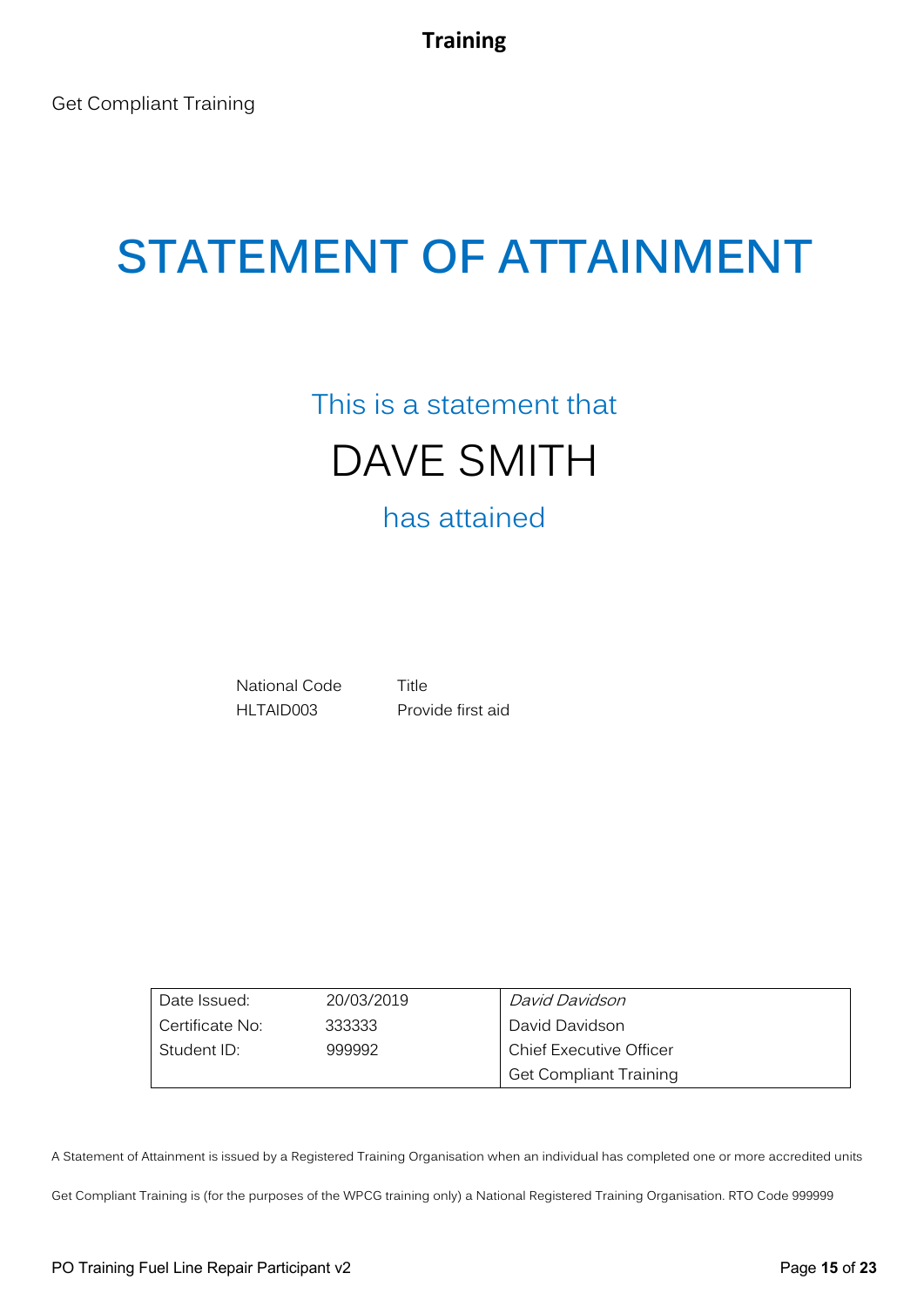## This is a statement that DAVE SMITH

## has attained

National Code Title HLTAID003 Provide first aid

| Date Issued:    | 20/03/2019 | David Davidson                 |
|-----------------|------------|--------------------------------|
| Certificate No: | 333333     | David Davidson                 |
| Student ID:     | 999992     | <b>Chief Executive Officer</b> |
|                 |            | <b>Get Compliant Training</b>  |

A Statement of Attainment is issued by a Registered Training Organisation when an individual has completed one or more accredited units

Get Compliant Training is (for the purposes of the WPCG training only) a National Registered Training Organisation. RTO Code 999999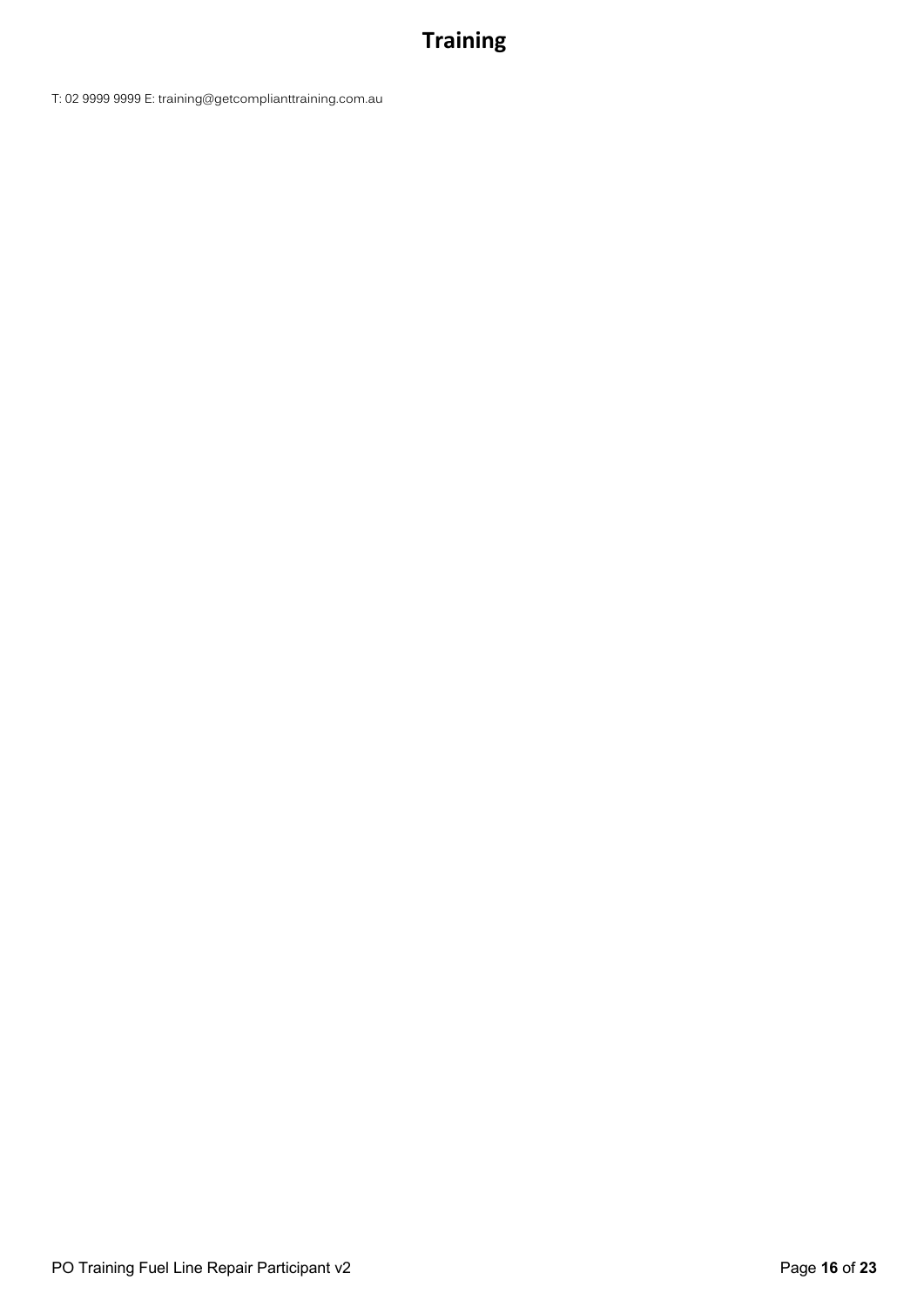T: 02 9999 9999 E: training@getcomplianttraining.com.au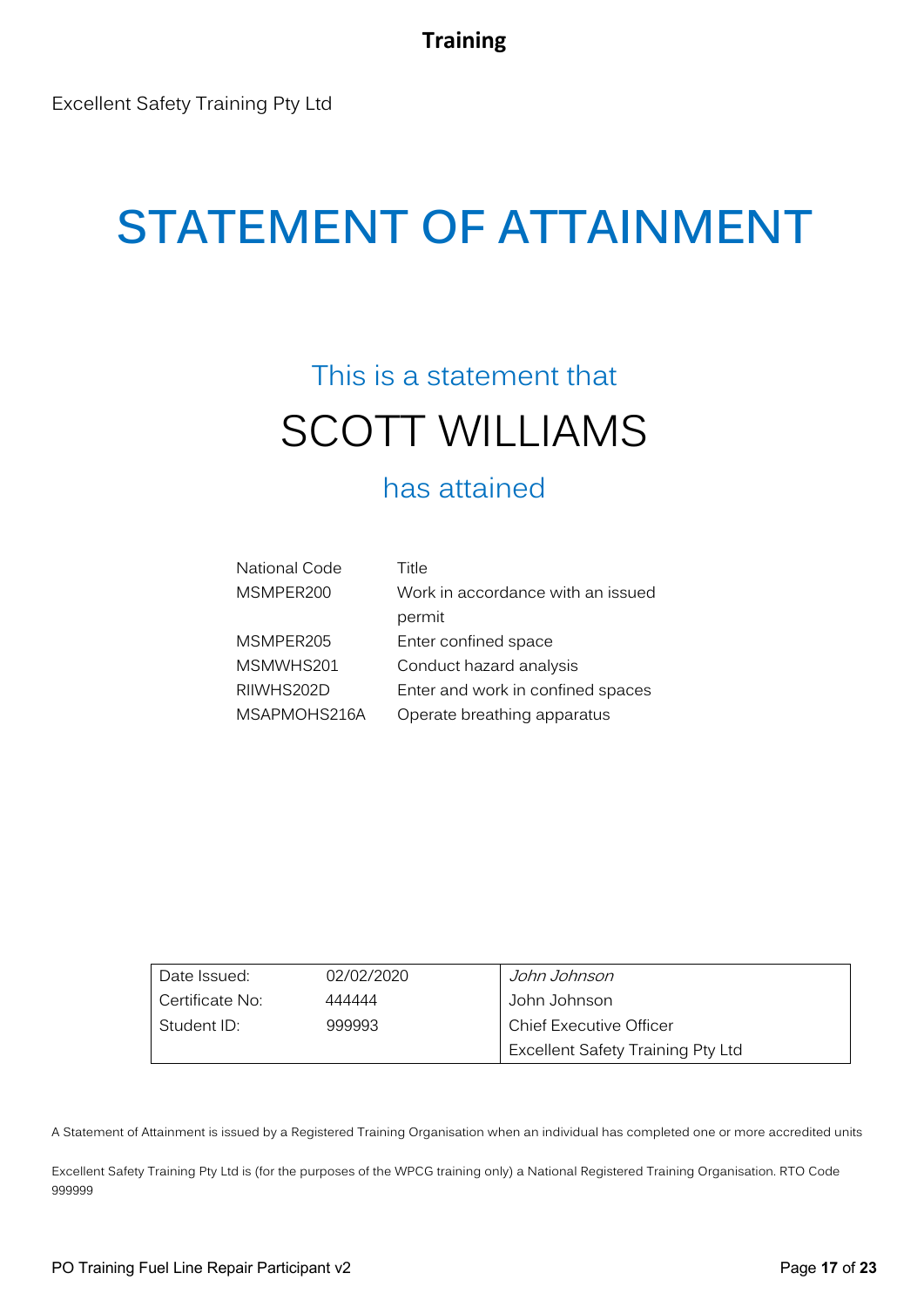## **STATEMENT OF ATTAINMENT**

## This is a statement that SCOTT WILLIAMS

### has attained

| <b>National Code</b> | Title                             |
|----------------------|-----------------------------------|
| MSMPER200            | Work in accordance with an issued |
|                      | permit                            |
| MSMPER205            | Enter confined space              |
| MSMWHS201            | Conduct hazard analysis           |
| RIIWHS202D           | Enter and work in confined spaces |
| MSAPMOHS216A         | Operate breathing apparatus       |

| Date Issued:    | 02/02/2020 | John Johnson                      |
|-----------------|------------|-----------------------------------|
| Certificate No: | 444444     | John Johnson                      |
| Student ID:     | 999993     | <b>Chief Executive Officer</b>    |
|                 |            | Excellent Safety Training Pty Ltd |

A Statement of Attainment is issued by a Registered Training Organisation when an individual has completed one or more accredited units

Excellent Safety Training Pty Ltd is (for the purposes of the WPCG training only) a National Registered Training Organisation. RTO Code 999999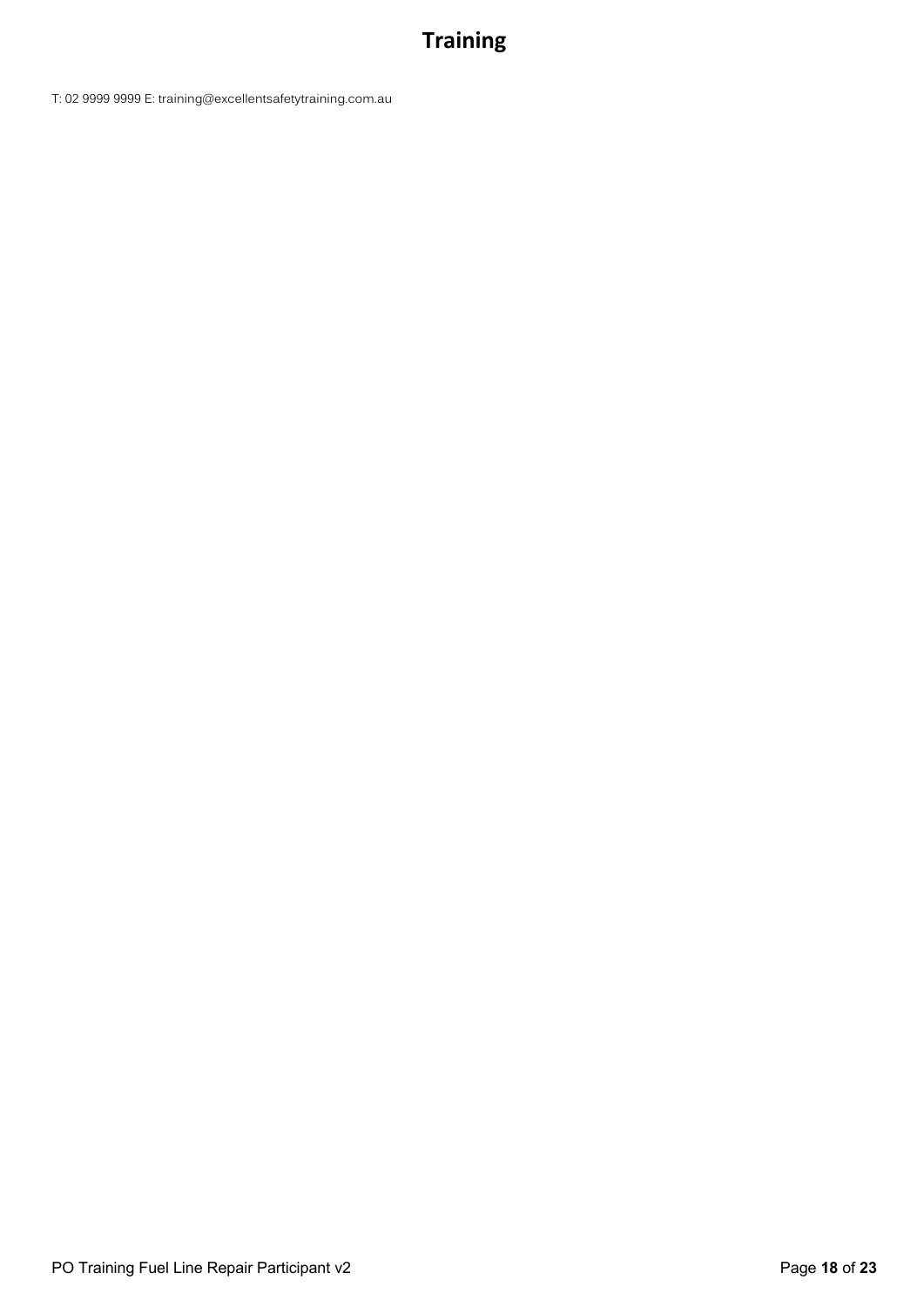T: 02 9999 9999 E: training@excellentsafetytraining.com.au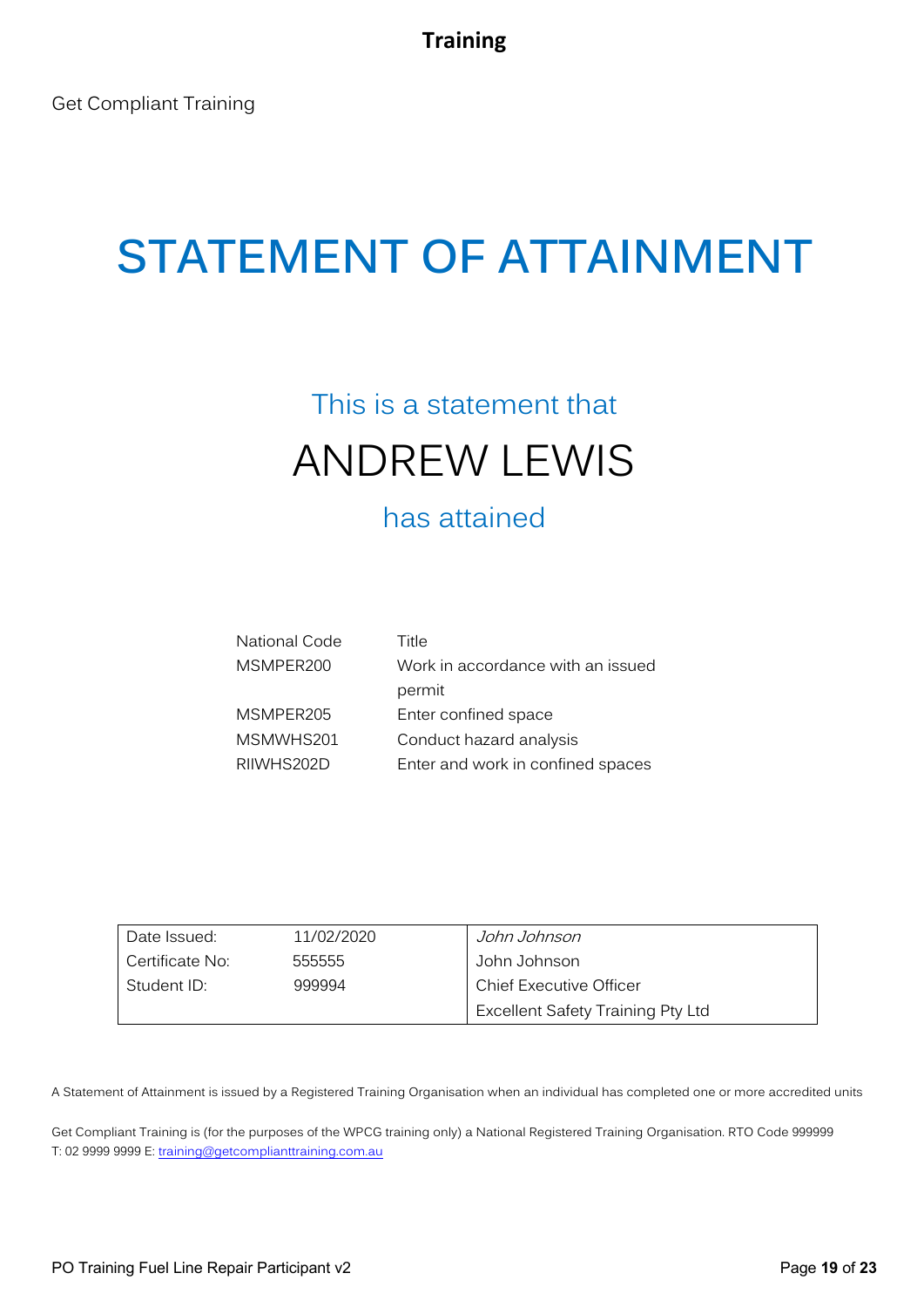## This is a statement that ANDREW LEWIS

## has attained

| National Code | Title                             |
|---------------|-----------------------------------|
| MSMPER200     | Work in accordance with an issued |
|               | permit                            |
| MSMPER205     | Enter confined space              |
| MSMWHS201     | Conduct hazard analysis           |
| RIIWHS202D    | Enter and work in confined spaces |

| Date Issued:    | 11/02/2020 | John Johnson                             |
|-----------------|------------|------------------------------------------|
| Certificate No: | 555555     | John Johnson                             |
| Student ID:     | 999994     | <b>Chief Executive Officer</b>           |
|                 |            | <b>Excellent Safety Training Pty Ltd</b> |

A Statement of Attainment is issued by a Registered Training Organisation when an individual has completed one or more accredited units

Get Compliant Training is (for the purposes of the WPCG training only) a National Registered Training Organisation. RTO Code 999999 T: 02 9999 9999 E: training@getcomplianttraining.com.au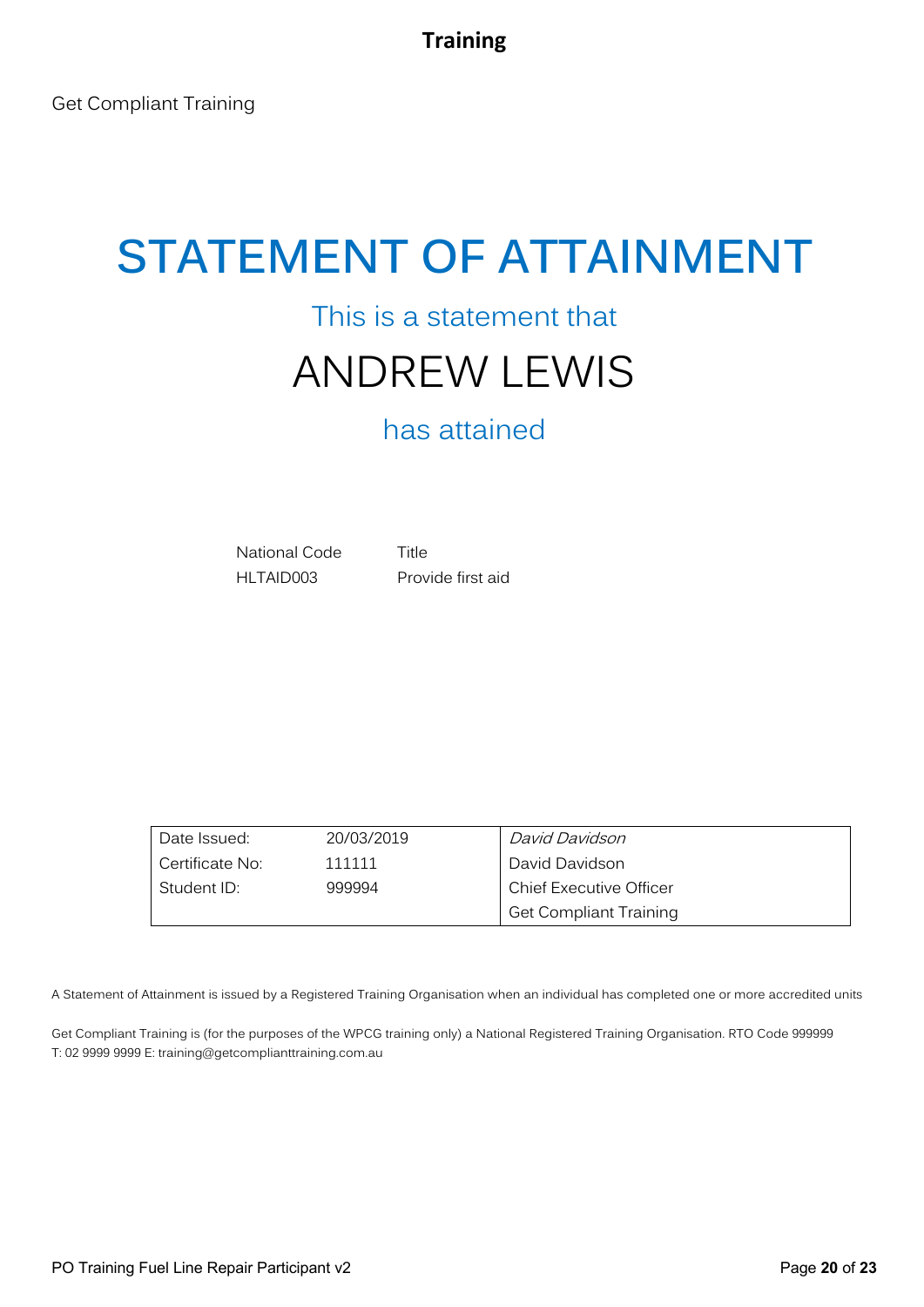## This is a statement that ANDREW LEWIS

## has attained

National Code Title HLTAID003 Provide first aid

Date Issued: 20/03/2019 Certificate No: 111111 Student ID: 999994 David Davidson David Davidson Chief Executive Officer Get Compliant Training

A Statement of Attainment is issued by a Registered Training Organisation when an individual has completed one or more accredited units

Get Compliant Training is (for the purposes of the WPCG training only) a National Registered Training Organisation. RTO Code 999999 T: 02 9999 9999 E: training@getcomplianttraining.com.au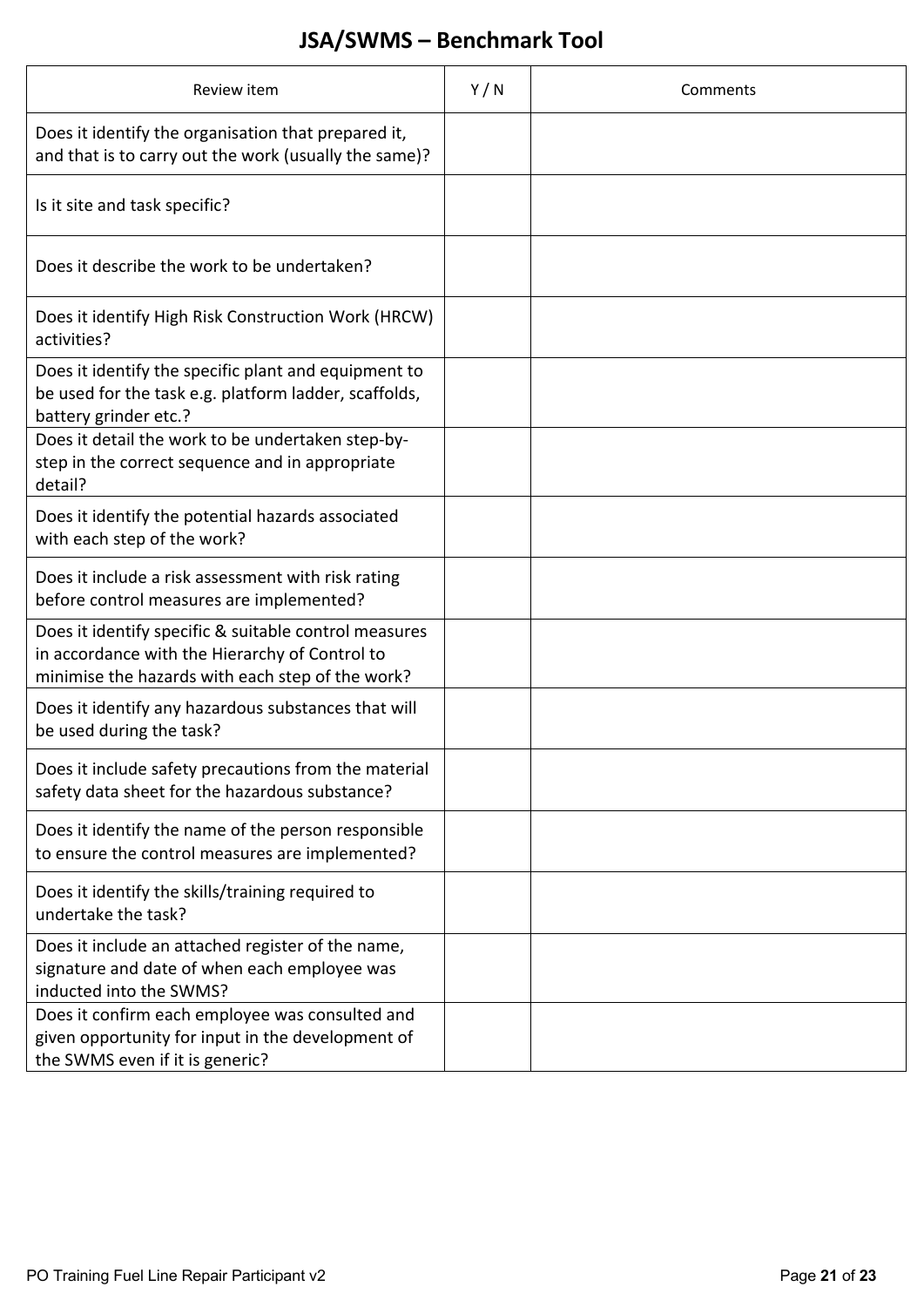## **JSA/SWMS – Benchmark Tool**

| Review item                                                                                                                                                 | Y/N | Comments |
|-------------------------------------------------------------------------------------------------------------------------------------------------------------|-----|----------|
| Does it identify the organisation that prepared it,<br>and that is to carry out the work (usually the same)?                                                |     |          |
| Is it site and task specific?                                                                                                                               |     |          |
| Does it describe the work to be undertaken?                                                                                                                 |     |          |
| Does it identify High Risk Construction Work (HRCW)<br>activities?                                                                                          |     |          |
| Does it identify the specific plant and equipment to<br>be used for the task e.g. platform ladder, scaffolds,<br>battery grinder etc.?                      |     |          |
| Does it detail the work to be undertaken step-by-<br>step in the correct sequence and in appropriate<br>detail?                                             |     |          |
| Does it identify the potential hazards associated<br>with each step of the work?                                                                            |     |          |
| Does it include a risk assessment with risk rating<br>before control measures are implemented?                                                              |     |          |
| Does it identify specific & suitable control measures<br>in accordance with the Hierarchy of Control to<br>minimise the hazards with each step of the work? |     |          |
| Does it identify any hazardous substances that will<br>be used during the task?                                                                             |     |          |
| Does it include safety precautions from the material<br>safety data sheet for the hazardous substance?                                                      |     |          |
| Does it identify the name of the person responsible<br>to ensure the control measures are implemented?                                                      |     |          |
| Does it identify the skills/training required to<br>undertake the task?                                                                                     |     |          |
| Does it include an attached register of the name,<br>signature and date of when each employee was<br>inducted into the SWMS?                                |     |          |
| Does it confirm each employee was consulted and<br>given opportunity for input in the development of<br>the SWMS even if it is generic?                     |     |          |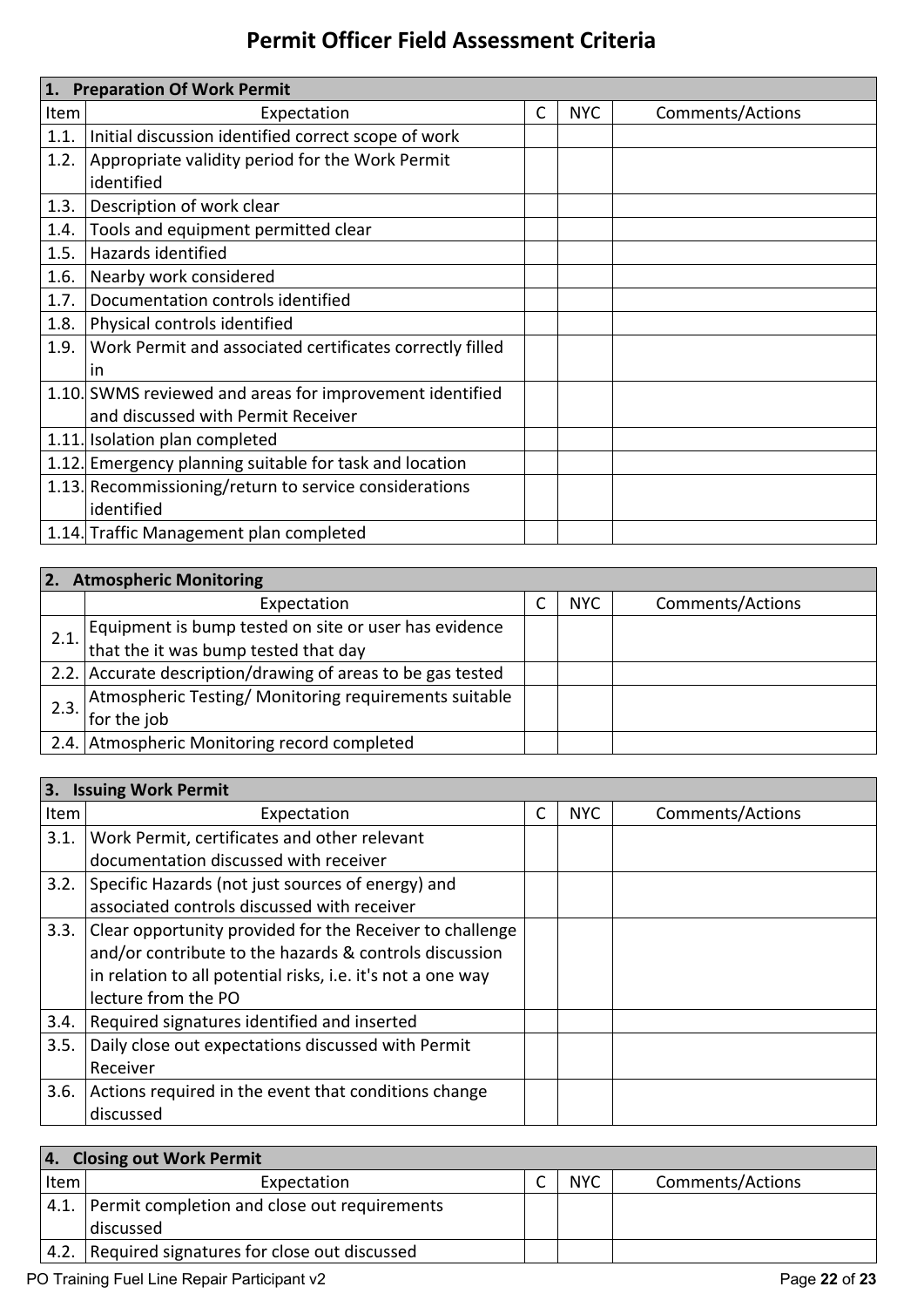### **Permit Officer Field Assessment Criteria**

|      | 1. Preparation Of Work Permit                            |   |            |                  |  |
|------|----------------------------------------------------------|---|------------|------------------|--|
| Item | Expectation                                              | C | <b>NYC</b> | Comments/Actions |  |
| 1.1. | Initial discussion identified correct scope of work      |   |            |                  |  |
| 1.2. | Appropriate validity period for the Work Permit          |   |            |                  |  |
|      | identified                                               |   |            |                  |  |
| 1.3. | Description of work clear                                |   |            |                  |  |
| 1.4. | Tools and equipment permitted clear                      |   |            |                  |  |
| 1.5. | Hazards identified                                       |   |            |                  |  |
| 1.6. | Nearby work considered                                   |   |            |                  |  |
| 1.7. | Documentation controls identified                        |   |            |                  |  |
| 1.8. | Physical controls identified                             |   |            |                  |  |
| 1.9. | Work Permit and associated certificates correctly filled |   |            |                  |  |
|      | in                                                       |   |            |                  |  |
|      | 1.10. SWMS reviewed and areas for improvement identified |   |            |                  |  |
|      | and discussed with Permit Receiver                       |   |            |                  |  |
|      | 1.11. Isolation plan completed                           |   |            |                  |  |
|      | 1.12. Emergency planning suitable for task and location  |   |            |                  |  |
|      | 1.13. Recommissioning/return to service considerations   |   |            |                  |  |
|      | identified                                               |   |            |                  |  |
|      | 1.14. Traffic Management plan completed                  |   |            |                  |  |

| <b>Atmospheric Monitoring</b><br><b>2.</b> |                                                             |  |            |                  |
|--------------------------------------------|-------------------------------------------------------------|--|------------|------------------|
|                                            | Expectation                                                 |  | <b>NYC</b> | Comments/Actions |
|                                            | Equipment is bump tested on site or user has evidence       |  |            |                  |
| 2.1.                                       | that the it was bump tested that day                        |  |            |                  |
|                                            | 2.2. Accurate description/drawing of areas to be gas tested |  |            |                  |
| 2.3.                                       | Atmospheric Testing/ Monitoring requirements suitable       |  |            |                  |
|                                            | for the job                                                 |  |            |                  |
|                                            | 2.4. Atmospheric Monitoring record completed                |  |            |                  |

| Expectation                                                 | С                              | <b>NYC</b> | Comments/Actions |
|-------------------------------------------------------------|--------------------------------|------------|------------------|
| Work Permit, certificates and other relevant                |                                |            |                  |
| documentation discussed with receiver                       |                                |            |                  |
| Specific Hazards (not just sources of energy) and           |                                |            |                  |
| associated controls discussed with receiver                 |                                |            |                  |
| Clear opportunity provided for the Receiver to challenge    |                                |            |                  |
| and/or contribute to the hazards & controls discussion      |                                |            |                  |
| in relation to all potential risks, i.e. it's not a one way |                                |            |                  |
| lecture from the PO                                         |                                |            |                  |
| Required signatures identified and inserted                 |                                |            |                  |
| Daily close out expectations discussed with Permit          |                                |            |                  |
| Receiver                                                    |                                |            |                  |
| Actions required in the event that conditions change        |                                |            |                  |
| discussed                                                   |                                |            |                  |
| Item                                                        | 3. Issuing Work Permit<br>3.1. |            |                  |

|      | 4. Closing out Work Permit                        |  |            |                  |  |
|------|---------------------------------------------------|--|------------|------------------|--|
| Item | Expectation                                       |  | <b>NYC</b> | Comments/Actions |  |
|      | 4.1. Permit completion and close out requirements |  |            |                  |  |
|      | discussed                                         |  |            |                  |  |
| 4.2. | Required signatures for close out discussed       |  |            |                  |  |